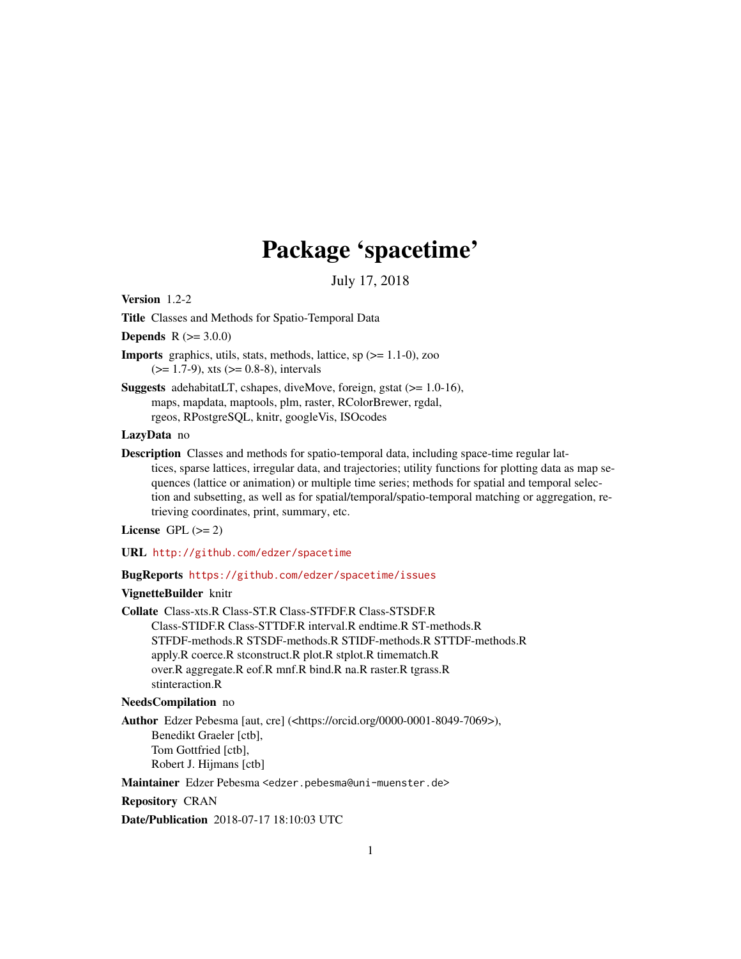# Package 'spacetime'

July 17, 2018

<span id="page-0-0"></span>Version 1.2-2

Title Classes and Methods for Spatio-Temporal Data

**Depends**  $R (= 3.0.0)$ 

**Imports** graphics, utils, stats, methods, lattice, sp  $(>= 1.1-0)$ , zoo  $(>= 1.7-9)$ , xts  $(>= 0.8-8)$ , intervals

Suggests adehabitatLT, cshapes, diveMove, foreign, gstat (>= 1.0-16), maps, mapdata, maptools, plm, raster, RColorBrewer, rgdal, rgeos, RPostgreSQL, knitr, googleVis, ISOcodes

# LazyData no

Description Classes and methods for spatio-temporal data, including space-time regular lattices, sparse lattices, irregular data, and trajectories; utility functions for plotting data as map sequences (lattice or animation) or multiple time series; methods for spatial and temporal selection and subsetting, as well as for spatial/temporal/spatio-temporal matching or aggregation, retrieving coordinates, print, summary, etc.

License GPL  $(>= 2)$ 

URL <http://github.com/edzer/spacetime>

BugReports <https://github.com/edzer/spacetime/issues>

# VignetteBuilder knitr

Collate Class-xts.R Class-ST.R Class-STFDF.R Class-STSDF.R Class-STIDF.R Class-STTDF.R interval.R endtime.R ST-methods.R STFDF-methods.R STSDF-methods.R STIDF-methods.R STTDF-methods.R apply.R coerce.R stconstruct.R plot.R stplot.R timematch.R over.R aggregate.R eof.R mnf.R bind.R na.R raster.R tgrass.R stinteraction.R

# NeedsCompilation no

Author Edzer Pebesma [aut, cre] (<https://orcid.org/0000-0001-8049-7069>), Benedikt Graeler [ctb], Tom Gottfried [ctb], Robert J. Hijmans [ctb]

Maintainer Edzer Pebesma <edzer.pebesma@uni-muenster.de>

Repository CRAN

Date/Publication 2018-07-17 18:10:03 UTC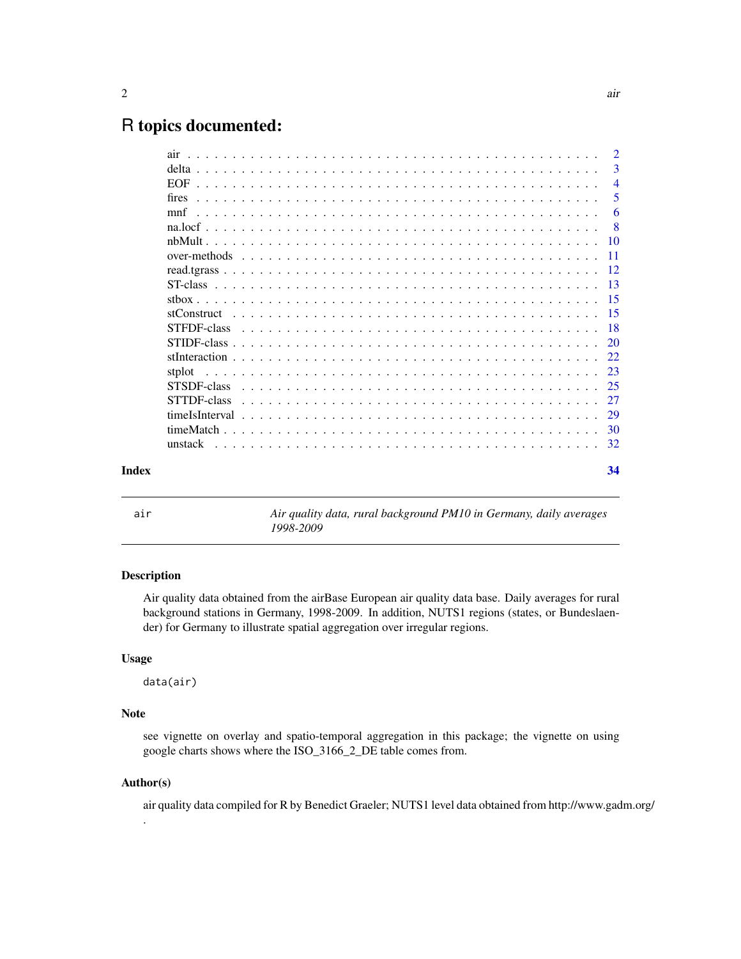# <span id="page-1-0"></span>R topics documented:

|       |        | $\overline{2}$ |
|-------|--------|----------------|
|       |        | 3              |
|       |        | $\overline{4}$ |
|       | fires  | 5              |
|       |        | 6              |
|       |        | - 8            |
|       |        |                |
|       |        |                |
|       |        |                |
|       |        |                |
|       |        |                |
|       |        |                |
|       |        |                |
|       |        |                |
|       |        |                |
|       | stplot |                |
|       |        |                |
|       |        |                |
|       |        |                |
|       |        |                |
|       |        |                |
|       |        |                |
| Index |        | 34             |
|       |        |                |

air *Air quality data, rural background PM10 in Germany, daily averages 1998-2009*

# Description

Air quality data obtained from the airBase European air quality data base. Daily averages for rural background stations in Germany, 1998-2009. In addition, NUTS1 regions (states, or Bundeslaender) for Germany to illustrate spatial aggregation over irregular regions.

# Usage

data(air)

# Note

see vignette on overlay and spatio-temporal aggregation in this package; the vignette on using google charts shows where the ISO\_3166\_2\_DE table comes from.

#### Author(s)

.

air quality data compiled for R by Benedict Graeler; NUTS1 level data obtained from http://www.gadm.org/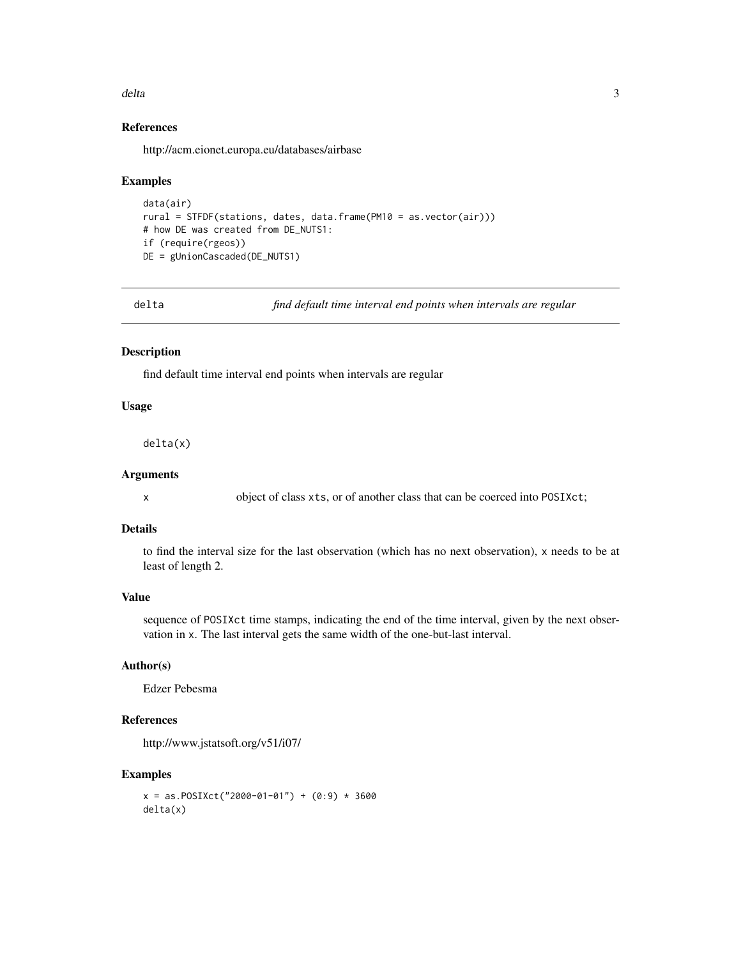#### <span id="page-2-0"></span>delta anno 2008, a set anno 2008, a set anno 2008, a set anno 2008. Tha set anno 2008, a set anno 2008, a set

# References

http://acm.eionet.europa.eu/databases/airbase

#### Examples

```
data(air)
rural = STFDF(stations, dates, data.frame(PM10 = as.vector(air)))
# how DE was created from DE_NUTS1:
if (require(rgeos))
DE = gUnionCascaded(DE_NUTS1)
```
<span id="page-2-1"></span>delta *find default time interval end points when intervals are regular*

# Description

find default time interval end points when intervals are regular

# Usage

delta(x)

# Arguments

x object of class xts, or of another class that can be coerced into POSIXct;

# Details

to find the interval size for the last observation (which has no next observation), x needs to be at least of length 2.

#### Value

sequence of POSIXct time stamps, indicating the end of the time interval, given by the next observation in x. The last interval gets the same width of the one-but-last interval.

# Author(s)

Edzer Pebesma

# References

http://www.jstatsoft.org/v51/i07/

```
x = as.POSIXct("2000-01-01") + (0:9) * 3600delta(x)
```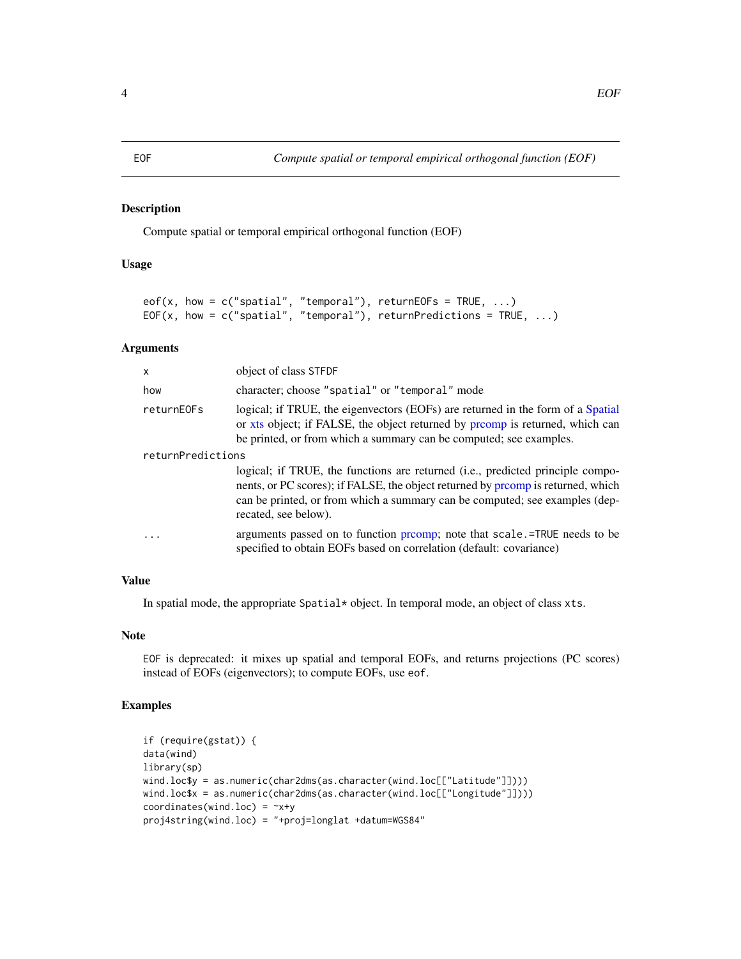# <span id="page-3-0"></span>EOF *Compute spatial or temporal empirical orthogonal function (EOF)*

# Description

Compute spatial or temporal empirical orthogonal function (EOF)

# Usage

```
eof(x, how = c("spatial", "temporal"), returnEOS = TRUE, ...)EOF(x, how = c("spatial", "temporal"), returnPredictions = TRUE, ...)
```
#### Arguments

| X                 | object of class STFDF                                                                                                                                                                                                                                                    |
|-------------------|--------------------------------------------------------------------------------------------------------------------------------------------------------------------------------------------------------------------------------------------------------------------------|
| how               | character; choose "spatial" or "temporal" mode                                                                                                                                                                                                                           |
| returnE0Fs        | logical; if TRUE, the eigenvectors (EOFs) are returned in the form of a Spatial<br>or xts object; if FALSE, the object returned by promp is returned, which can<br>be printed, or from which a summary can be computed; see examples.                                    |
| returnPredictions |                                                                                                                                                                                                                                                                          |
|                   | logical; if TRUE, the functions are returned (i.e., predicted principle compo-<br>nents, or PC scores); if FALSE, the object returned by promp is returned, which<br>can be printed, or from which a summary can be computed; see examples (dep-<br>recated, see below). |
| $\cdot$           | arguments passed on to function promp; note that scale.=TRUE needs to be<br>specified to obtain EOFs based on correlation (default: covariance)                                                                                                                          |

# Value

In spatial mode, the appropriate Spatial\* object. In temporal mode, an object of class xts.

#### Note

EOF is deprecated: it mixes up spatial and temporal EOFs, and returns projections (PC scores) instead of EOFs (eigenvectors); to compute EOFs, use eof.

```
if (require(gstat)) {
data(wind)
library(sp)
wind.loc$y = as.numeric(char2dms(as.character(wind.loc[["Latitude"]])))
wind.loc$x = as.numeric(char2dms(as.character(wind.loc[["Longitude"]])))
coordinates(wind.loc) = -x+yproj4string(wind.loc) = "+proj=longlat +datum=WGS84"
```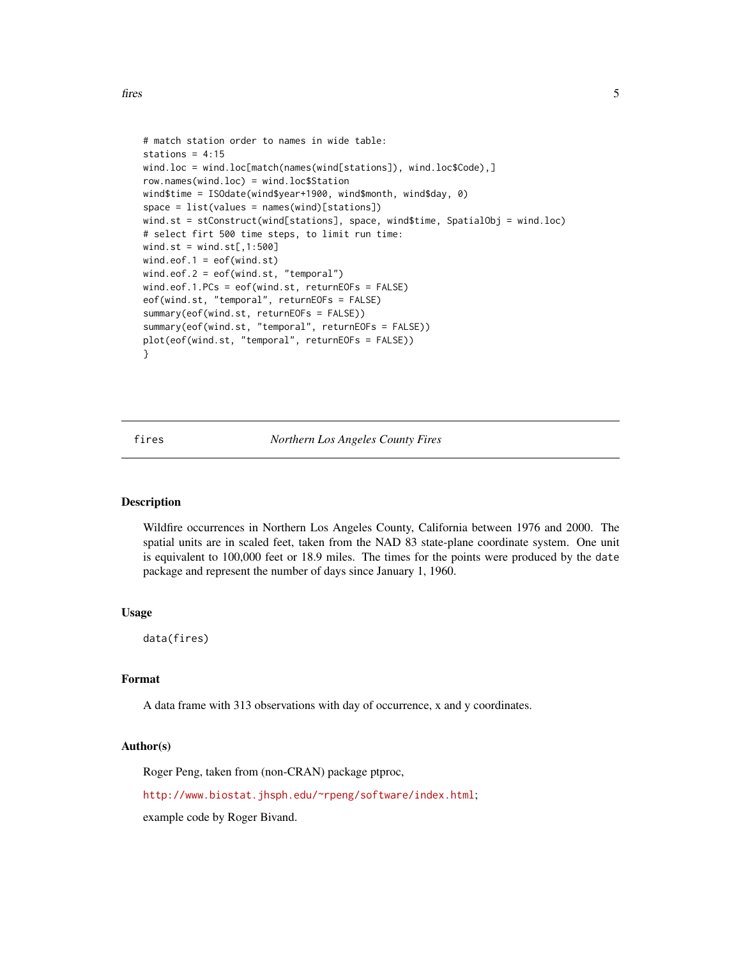```
# match station order to names in wide table:
stations = 4:15wind.loc = wind.loc[match(names(wind[stations]), wind.loc$Code),]
row.names(wind.loc) = wind.loc$Station
wind$time = ISOdate(wind$year+1900, wind$month, wind$day, 0)
space = list(values = names(wind)[stations])
wind.st = stConstruct(wind[stations], space, wind$time, SpatialObj = wind.loc)
# select firt 500 time steps, to limit run time:
wind.st = wind.st[, 1:500]wind.eof.1 = eof(wind.st)
wind.eof.2 = eof(wind.st, "temporal")
wind.eof.1.PCs = eof(wind.st, returnEOFs = FALSE)
eof(wind.st, "temporal", returnEOFs = FALSE)
summary(eof(wind.st, returnEOFs = FALSE))
summary(eof(wind.st, "temporal", returnEOFs = FALSE))
plot(eof(wind.st, "temporal", returnEOFs = FALSE))
}
```
fires *Northern Los Angeles County Fires*

# **Description**

Wildfire occurrences in Northern Los Angeles County, California between 1976 and 2000. The spatial units are in scaled feet, taken from the NAD 83 state-plane coordinate system. One unit is equivalent to 100,000 feet or 18.9 miles. The times for the points were produced by the date package and represent the number of days since January 1, 1960.

#### Usage

data(fires)

#### Format

A data frame with 313 observations with day of occurrence, x and y coordinates.

# Author(s)

Roger Peng, taken from (non-CRAN) package ptproc,

<http://www.biostat.jhsph.edu/~rpeng/software/index.html>;

example code by Roger Bivand.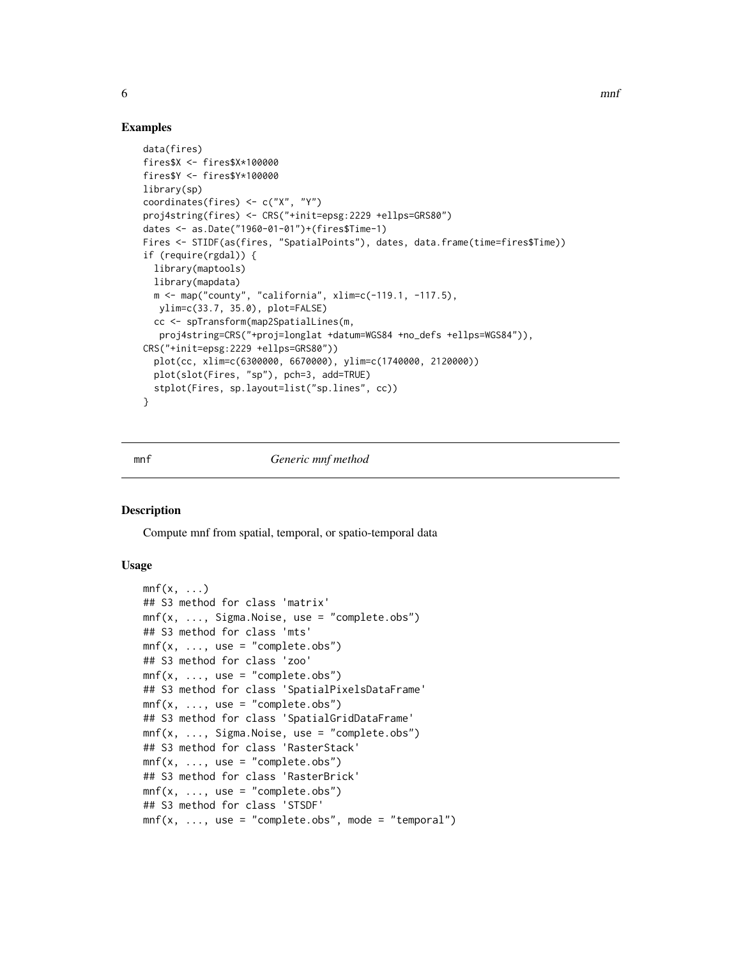# Examples

```
data(fires)
fires$X <- fires$X*100000
fires$Y <- fires$Y*100000
library(sp)
coordinates(fires) <- c("X", "Y")
proj4string(fires) <- CRS("+init=epsg:2229 +ellps=GRS80")
dates <- as.Date("1960-01-01")+(fires$Time-1)
Fires <- STIDF(as(fires, "SpatialPoints"), dates, data.frame(time=fires$Time))
if (require(rgdal)) {
  library(maptools)
  library(mapdata)
  m <- map("county", "california", xlim=c(-119.1, -117.5),
  ylim=c(33.7, 35.0), plot=FALSE)
  cc <- spTransform(map2SpatialLines(m,
   proj4string=CRS("+proj=longlat +datum=WGS84 +no_defs +ellps=WGS84")),
CRS("+init=epsg:2229 +ellps=GRS80"))
  plot(cc, xlim=c(6300000, 6670000), ylim=c(1740000, 2120000))
  plot(slot(Fires, "sp"), pch=3, add=TRUE)
  stplot(Fires, sp.layout=list("sp.lines", cc))
}
```
#### mnf *Generic mnf method*

#### Description

Compute mnf from spatial, temporal, or spatio-temporal data

# Usage

```
mnf(x, \ldots)## S3 method for class 'matrix'
mnf(x, ..., Sigma.Noise, use = "complete.obs")
## S3 method for class 'mts'
mnf(x, ..., use = "complete.obs")## S3 method for class 'zoo'
mnf(x, ..., use = "complete.obs")## S3 method for class 'SpatialPixelsDataFrame'
mnf(x, ..., use = "complete.obs")## S3 method for class 'SpatialGridDataFrame'
m\int f(x, \ldots, Sigma.Noise, use = "complete.obs")## S3 method for class 'RasterStack'
mnf(x, ..., use = "complete.obs")## S3 method for class 'RasterBrick'
mnf(x, ..., use = "complete.obs")## S3 method for class 'STSDF'
mnf(x, ..., use = "complete.obs", mode = "temporal")
```
<span id="page-5-0"></span>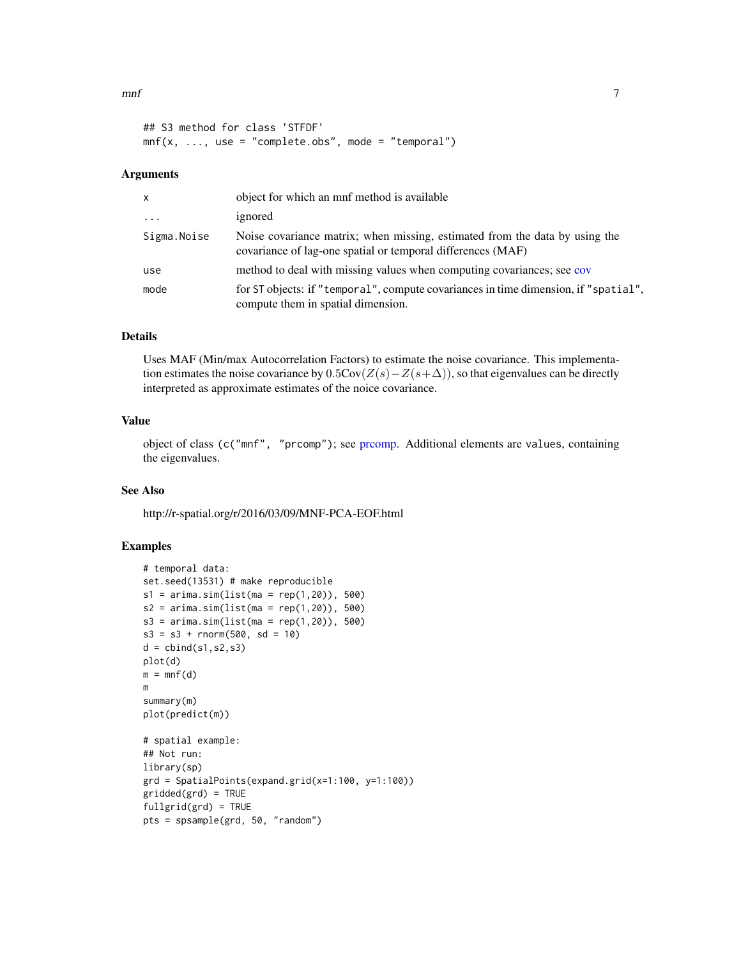#### <span id="page-6-0"></span> $m$ nf 7

```
## S3 method for class 'STFDF'
m\{x, \ldots, use = "complete.obs", mode = "temporal")
```
# Arguments

| X           | object for which an mnf method is available                                                                                                |
|-------------|--------------------------------------------------------------------------------------------------------------------------------------------|
| $\cdots$    | ignored                                                                                                                                    |
| Sigma.Noise | Noise covariance matrix; when missing, estimated from the data by using the<br>covariance of lag-one spatial or temporal differences (MAF) |
| use         | method to deal with missing values when computing covariances; see cov                                                                     |
| mode        | for ST objects: if "temporal", compute covariances in time dimension, if "spatial",<br>compute them in spatial dimension.                  |

# Details

Uses MAF (Min/max Autocorrelation Factors) to estimate the noise covariance. This implementation estimates the noise covariance by  $0.5Cov(Z(s)-Z(s+\Delta))$ , so that eigenvalues can be directly interpreted as approximate estimates of the noice covariance.

# Value

object of class (c("mnf", "prcomp"); see [prcomp.](#page-0-0) Additional elements are values, containing the eigenvalues.

# See Also

http://r-spatial.org/r/2016/03/09/MNF-PCA-EOF.html

```
# temporal data:
set.seed(13531) # make reproducible
s1 = \arima.sim(list(max = rep(1,20)), 500)s2 = \text{arima.sim}(list(ma = rep(1, 20)), 500)s3 = \text{arima.sim}(list(ma = rep(1, 20)), 500)s3 = s3 + rnorm(500, sd = 10)d = \text{cbind}(s1, s2, s3)plot(d)
m = mnf(d)m
summary(m)
plot(predict(m))
# spatial example:
## Not run:
library(sp)
grd = SpatialPoints(expand.grid(x=1:100, y=1:100))gridded(grd) = TRUE
fullgrid(grd) = TRUE
pts = spsample(grd, 50, "random")
```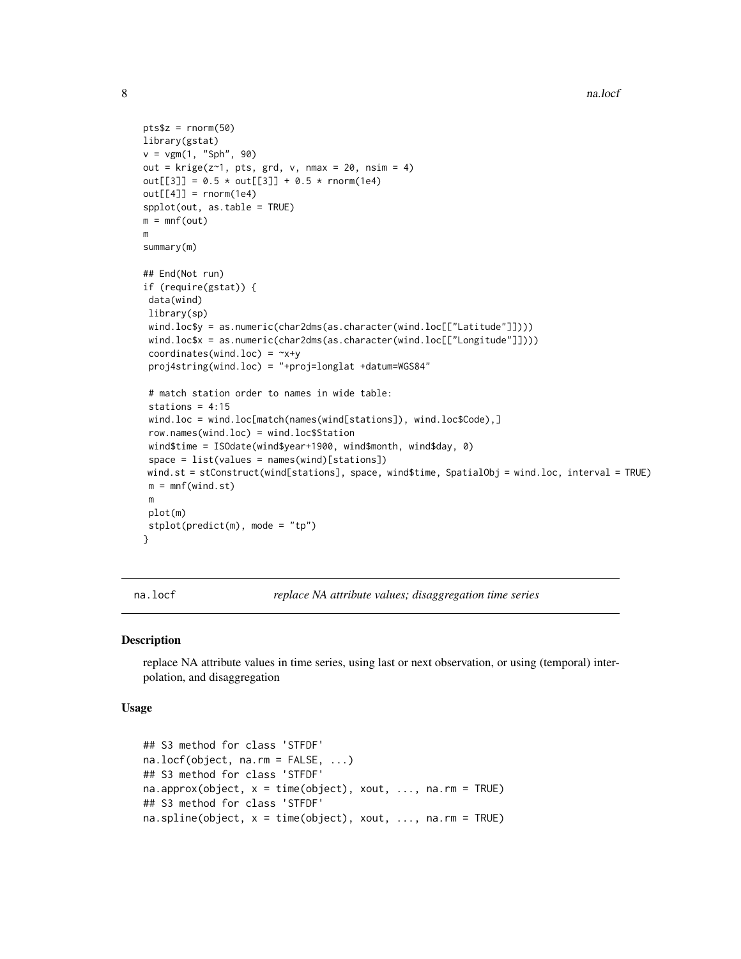```
pts$z = rnorm(50)library(gstat)
v = vgm(1, "Sph", 90)
out = krige(z<sup>-1</sup>, pts, grd, v, nmax = 20, nsim = 4)out[[3]] = 0.5 * out[[3]] + 0.5 * norm(1e4)out[[4]] = rnorm(1e4)spplot(out, as.table = TRUE)
m = mnf(out)m
summary(m)
## End(Not run)
if (require(gstat)) {
 data(wind)
 library(sp)
 wind.loc$y = as.numeric(char2dms(as.character(wind.loc[["Latitude"]])))
 wind.loc$x = as.numeric(char2dms(as.character(wind.loc[["Longitude"]])))
 coordinates(wind.loc) = -x+yproj4string(wind.loc) = "+proj=longlat +datum=WGS84"
 # match station order to names in wide table:
 stations = 4:15wind.loc = wind.loc[match(names(wind[stations]), wind.loc$Code),]
 row.names(wind.loc) = wind.loc$Station
 wind$time = ISOdate(wind$year+1900, wind$month, wind$day, 0)
 space = list(values = names(wind)[stations])
wind.st = stConstruct(wind[stations], space, wind$time, SpatialObj = wind.loc, interval = TRUE)
 m = m\int(\text{wind}.\text{st})m
 plot(m)
 stplot(predict(m), mode = "tp")
}
```
<span id="page-7-1"></span>na.locf *replace NA attribute values; disaggregation time series*

#### <span id="page-7-2"></span>Description

replace NA attribute values in time series, using last or next observation, or using (temporal) interpolation, and disaggregation

#### Usage

```
## S3 method for class 'STFDF'
na.locf(object, na.rm = FALSE, ...)
## S3 method for class 'STFDF'
na.approx(object, x = time(object), xout, ..., na.rm = TRUE)
## S3 method for class 'STFDF'
na.splitne(object, x = time(object), xout, ..., na.rm = TRUE)
```
<span id="page-7-0"></span>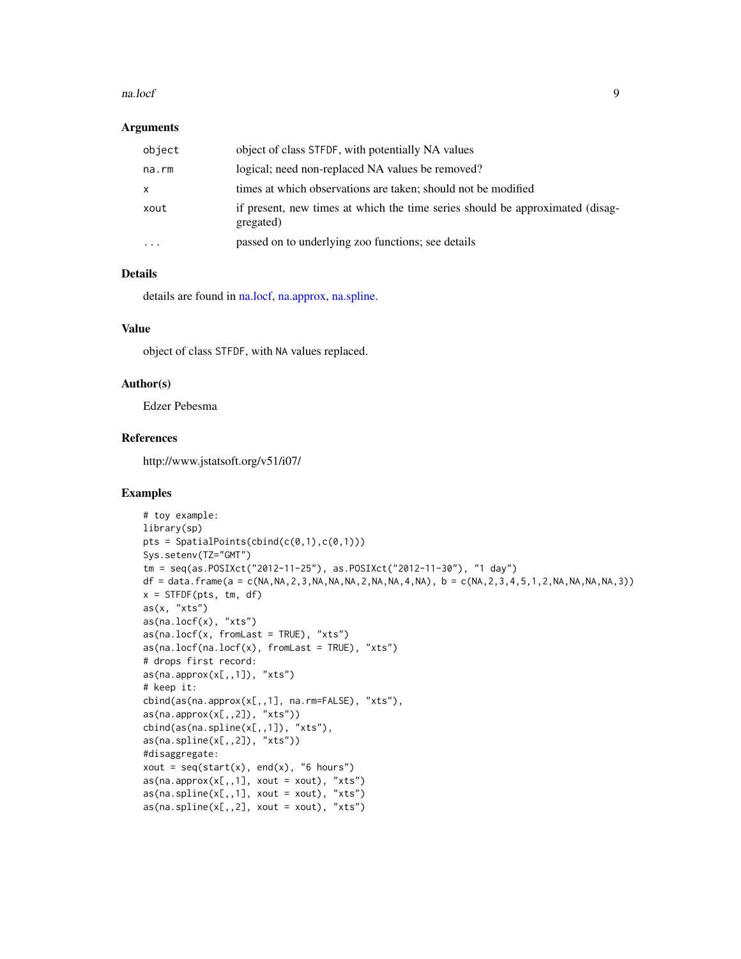#### <span id="page-8-0"></span>na.locf 9

#### **Arguments**

| object       | object of class STFDF, with potentially NA values                                          |
|--------------|--------------------------------------------------------------------------------------------|
| na.rm        | logical; need non-replaced NA values be removed?                                           |
| $\mathsf{x}$ | times at which observations are taken; should not be modified                              |
| xout         | if present, new times at which the time series should be approximated (disag-<br>gregated) |
| $\cdots$     | passed on to underlying zoo functions; see details                                         |

# Details

details are found in [na.locf,](#page-7-1) [na.approx,](#page-7-2) [na.spline.](#page-7-2)

#### Value

object of class STFDF, with NA values replaced.

#### Author(s)

Edzer Pebesma

# References

http://www.jstatsoft.org/v51/i07/

```
# toy example:
library(sp)
pts = SpatialPoints(cbind(c(\emptyset,1),c(\emptyset,1)))
Sys.setenv(TZ="GMT")
tm = seq(as.POSIXct("2012-11-25"), as.POSIXct("2012-11-30"), "1 day")
df = data. frame(a = c(NA, NA, 2, 3, NA, NA, NA, 2, NA, NA, 4, NA), b = c(NA, 2, 3, 4, 5, 1, 2, NA, NA, NA, NA, 3))
x = STFDF(pts, tm, df)
as(x, "xts")
as(na.locf(x), "xts")
as(na.locf(x, fromLast = TRUE), "xts")as(na.locf(na.locf(x), fromLast = TRUE), "xts")
# drops first record:
as(na.append(x[,,1]), "xts")
# keep it:
cbind(as(na.approx(x[,,1], na.rm=FALSE), "xts"),
as(na.approx(x[,,2]), "xts"))
cbind(as(na.spline(x[,,1]), "xts"),
as(na.splitne(x[,,2]), "xts"))
#disaggregate:
xout = seq(start(x), end(x), "6 hours")as(na.append(x[,,1], xout = xout), "xts")as(na.splitne(x[,,1], xout = xout), "xts")as(na.splitne(x[,,2], xout = xout), "xts")
```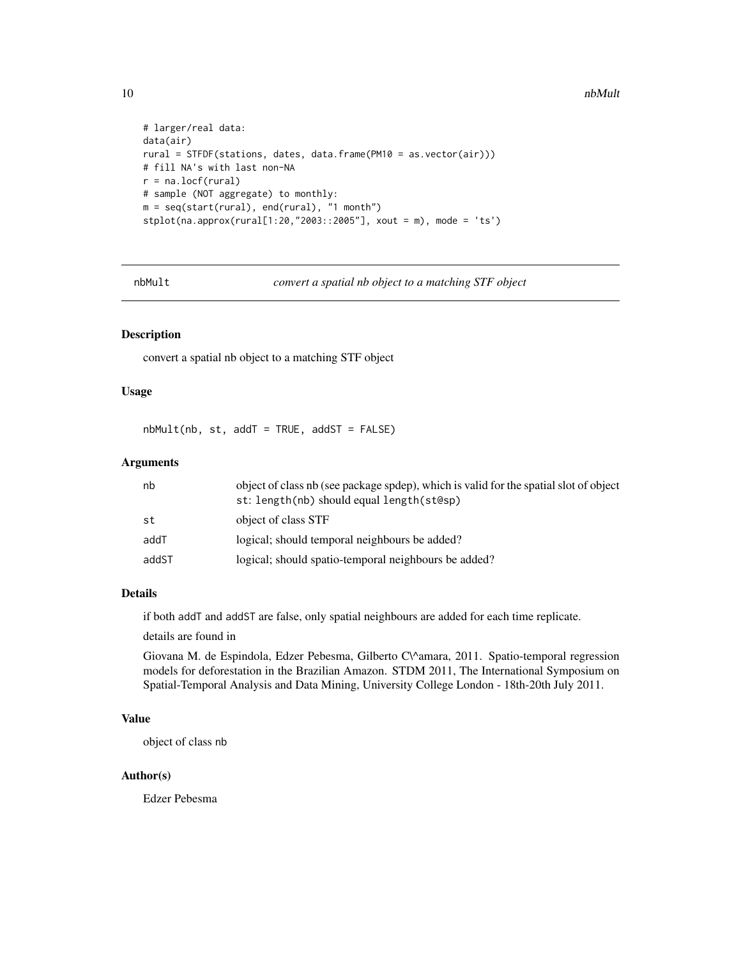```
# larger/real data:
data(air)
rural = STFDF(stations, dates, data.frame(PM10 = as.vector(air)))
# fill NA's with last non-NA
r = na.locf(rural)
# sample (NOT aggregate) to monthly:
m = seq(start(rural), end(rural), "1 month")
stplot(na.approx(rural[1:20,"2003::2005"], xout = m), mode = 'ts')
```
nbMult *convert a spatial nb object to a matching STF object*

#### Description

convert a spatial nb object to a matching STF object

#### Usage

 $nbMult(nb, st, addT = TRUE, addST = FALSE)$ 

#### Arguments

| nb    | object of class nb (see package spdep), which is valid for the spatial slot of object<br>st: length(nb) should equal length(st@sp) |
|-------|------------------------------------------------------------------------------------------------------------------------------------|
| st    | object of class STF                                                                                                                |
| addT  | logical; should temporal neighbours be added?                                                                                      |
| addST | logical; should spatio-temporal neighbours be added?                                                                               |

# Details

if both addT and addST are false, only spatial neighbours are added for each time replicate.

details are found in

Giovana M. de Espindola, Edzer Pebesma, Gilberto C\^amara, 2011. Spatio-temporal regression models for deforestation in the Brazilian Amazon. STDM 2011, The International Symposium on Spatial-Temporal Analysis and Data Mining, University College London - 18th-20th July 2011.

# Value

object of class nb

# Author(s)

Edzer Pebesma

<span id="page-9-0"></span>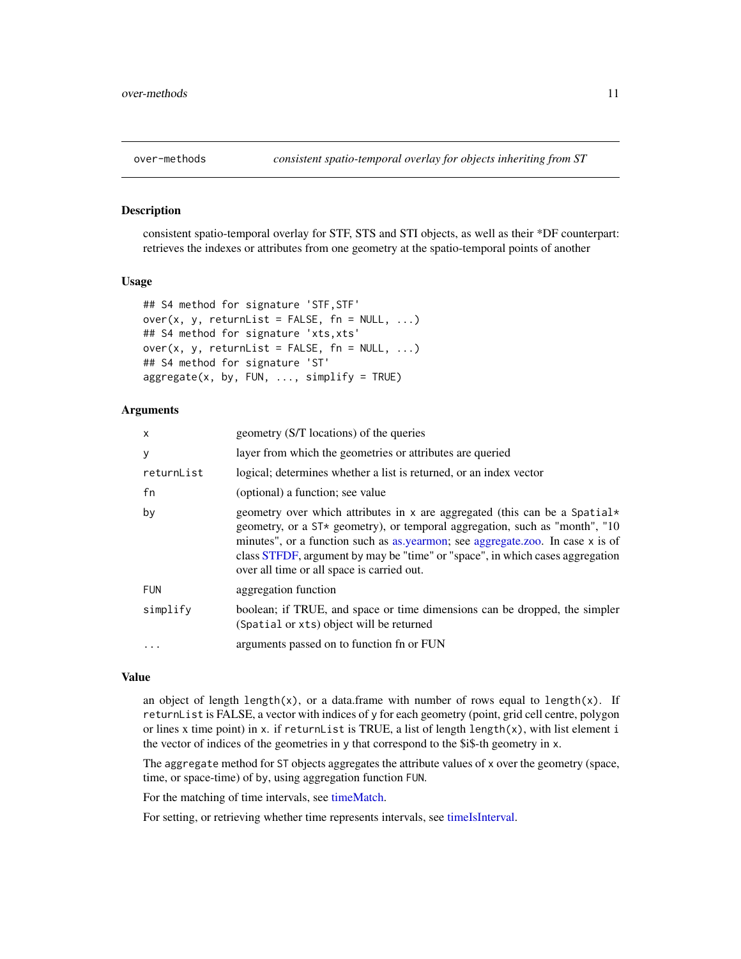<span id="page-10-0"></span>

# <span id="page-10-1"></span>Description

consistent spatio-temporal overlay for STF, STS and STI objects, as well as their \*DF counterpart: retrieves the indexes or attributes from one geometry at the spatio-temporal points of another

#### Usage

```
## S4 method for signature 'STF,STF'
over(x, y, returnList = FALSE, fn = NULL, ...)
## S4 method for signature 'xts,xts'
over(x, y, returnList = FALSE, fn = NULL, ...)
## S4 method for signature 'ST'
aggregate(x, by, FUN, ..., simply = TRUE)
```
# Arguments

| $\mathsf{x}$ | geometry (S/T locations) of the queries                                                                                                                                                                                                                                                                                                                                    |
|--------------|----------------------------------------------------------------------------------------------------------------------------------------------------------------------------------------------------------------------------------------------------------------------------------------------------------------------------------------------------------------------------|
| У            | layer from which the geometries or attributes are queried                                                                                                                                                                                                                                                                                                                  |
| returnList   | logical; determines whether a list is returned, or an index vector                                                                                                                                                                                                                                                                                                         |
| fn           | (optional) a function; see value                                                                                                                                                                                                                                                                                                                                           |
| by           | geometry over which attributes in x are aggregated (this can be a Spatial*<br>geometry, or a ST* geometry), or temporal aggregation, such as "month", "10<br>minutes", or a function such as as yearmon; see aggregate.zoo. In case x is of<br>class STFDF, argument by may be "time" or "space", in which cases aggregation<br>over all time or all space is carried out. |
| <b>FUN</b>   | aggregation function                                                                                                                                                                                                                                                                                                                                                       |
| simplify     | boolean; if TRUE, and space or time dimensions can be dropped, the simpler<br>(Spatial or xts) object will be returned                                                                                                                                                                                                                                                     |
|              | arguments passed on to function fn or FUN                                                                                                                                                                                                                                                                                                                                  |

#### Value

an object of length length(x), or a data.frame with number of rows equal to length(x). If returnList is FALSE, a vector with indices of y for each geometry (point, grid cell centre, polygon or lines x time point) in x. if returnList is TRUE, a list of length length $(x)$ , with list element i the vector of indices of the geometries in y that correspond to the \$i\$-th geometry in x.

The aggregate method for ST objects aggregates the attribute values of x over the geometry (space, time, or space-time) of by, using aggregation function FUN.

For the matching of time intervals, see [timeMatch.](#page-29-1)

For setting, or retrieving whether time represents intervals, see [timeIsInterval.](#page-28-1)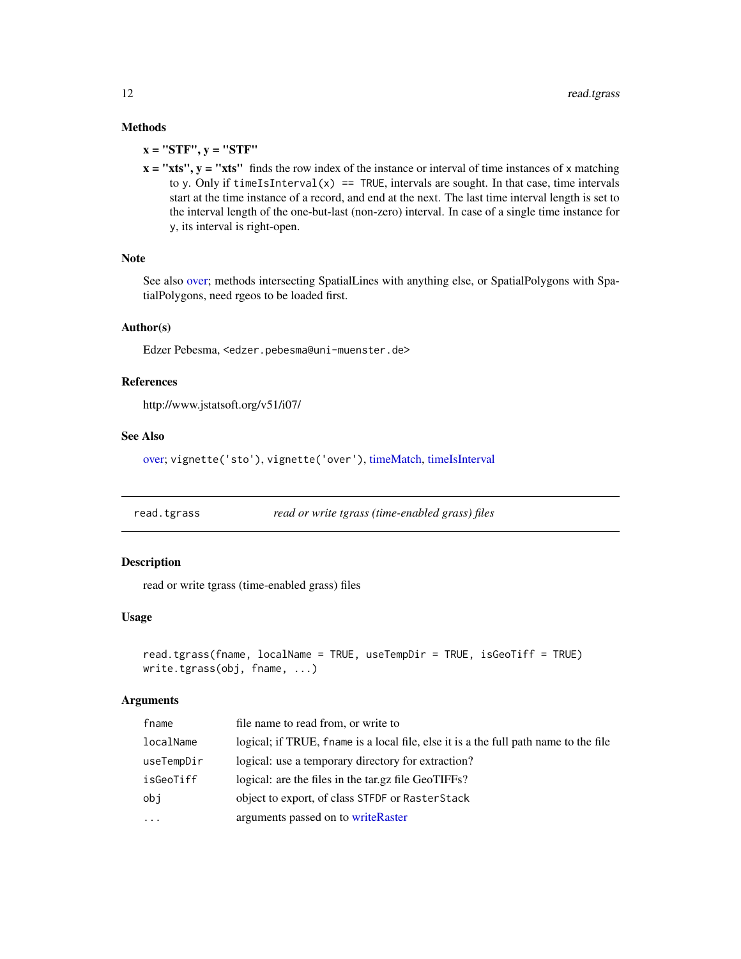# Methods

 $x = "STF", y = "STF"$ 

 $x = "xts", y = "xts"$  finds the row index of the instance or interval of time instances of x matching to y. Only if  $timeIsInterval(x) == TRUE$ , intervals are sought. In that case, time intervals start at the time instance of a record, and end at the next. The last time interval length is set to the interval length of the one-but-last (non-zero) interval. In case of a single time instance for y, its interval is right-open.

#### Note

See also [over;](#page-10-1) methods intersecting SpatialLines with anything else, or SpatialPolygons with SpatialPolygons, need rgeos to be loaded first.

# Author(s)

Edzer Pebesma, <edzer.pebesma@uni-muenster.de>

#### References

http://www.jstatsoft.org/v51/i07/

#### See Also

[over;](#page-10-1) vignette('sto'), vignette('over'), [timeMatch,](#page-29-1) [timeIsInterval](#page-28-1)

read.tgrass *read or write tgrass (time-enabled grass) files*

# Description

read or write tgrass (time-enabled grass) files

#### Usage

```
read.tgrass(fname, localName = TRUE, useTempDir = TRUE, isGeoTiff = TRUE)
write.tgrass(obj, fname, ...)
```
# **Arguments**

| logical; if TRUE, fname is a local file, else it is a the full path name to the file |
|--------------------------------------------------------------------------------------|
|                                                                                      |
|                                                                                      |
|                                                                                      |
|                                                                                      |
|                                                                                      |

<span id="page-11-0"></span>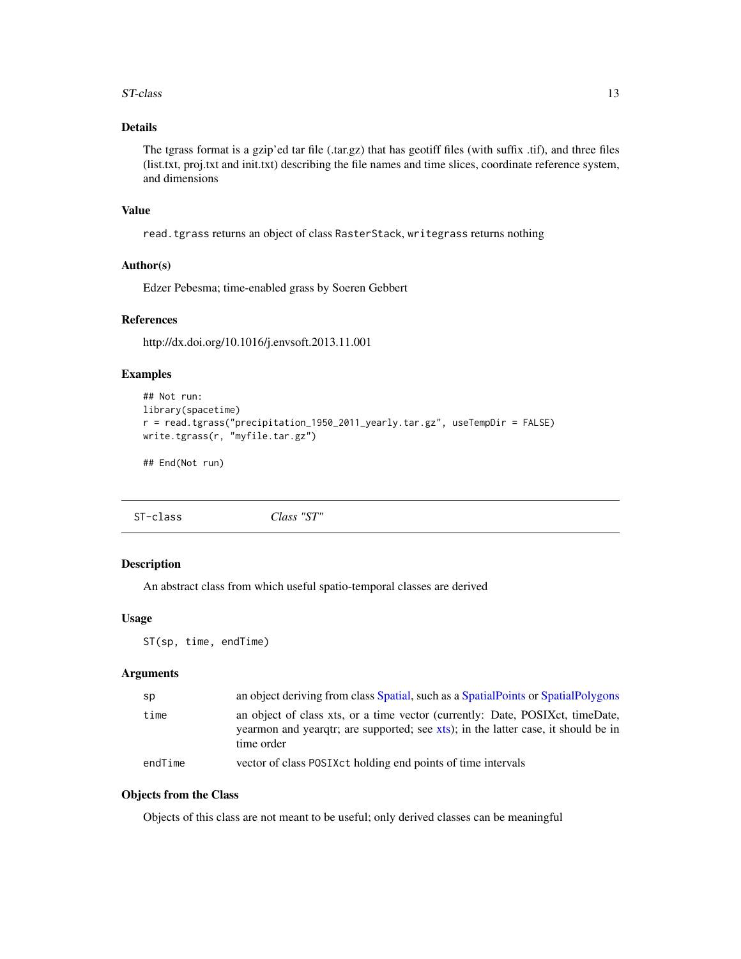#### <span id="page-12-0"></span>ST-class 13

# Details

The tgrass format is a gzip'ed tar file (.tar.gz) that has geotiff files (with suffix .tif), and three files (list.txt, proj.txt and init.txt) describing the file names and time slices, coordinate reference system, and dimensions

#### Value

read.tgrass returns an object of class RasterStack, writegrass returns nothing

# Author(s)

Edzer Pebesma; time-enabled grass by Soeren Gebbert

# References

http://dx.doi.org/10.1016/j.envsoft.2013.11.001

# Examples

```
## Not run:
library(spacetime)
r = read.tgrass("precipitation_1950_2011_yearly.tar.gz", useTempDir = FALSE)
write.tgrass(r, "myfile.tar.gz")
```
## End(Not run)

<span id="page-12-2"></span>ST-class *Class "ST"*

# <span id="page-12-1"></span>Description

An abstract class from which useful spatio-temporal classes are derived

# Usage

ST(sp, time, endTime)

# Arguments

| sp      | an object deriving from class Spatial, such as a SpatialPoints or SpatialPolygons                                                                                                |
|---------|----------------------------------------------------------------------------------------------------------------------------------------------------------------------------------|
| time    | an object of class xts, or a time vector (currently: Date, POSIXct, timeDate,<br>yearmon and yeargtr; are supported; see xts); in the latter case, it should be in<br>time order |
| endTime | vector of class POSIXct holding end points of time intervals                                                                                                                     |

# Objects from the Class

Objects of this class are not meant to be useful; only derived classes can be meaningful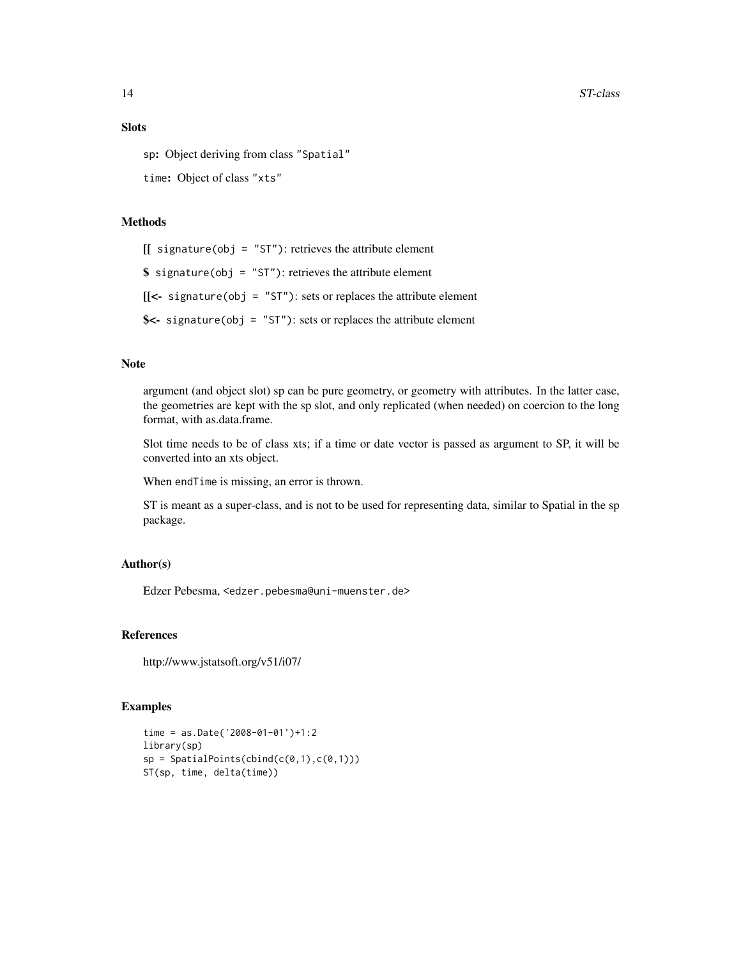# Slots

sp: Object deriving from class "Spatial"

time: Object of class "xts"

# Methods

 $[[$  signature(obj = "ST"): retrieves the attribute element

 $$ signalure(obj = "ST")$ : retrieves the attribute element

 $[[\leftarrow$  signature(obj = "ST"): sets or replaces the attribute element

\$<- signature(obj = "ST"): sets or replaces the attribute element

### Note

argument (and object slot) sp can be pure geometry, or geometry with attributes. In the latter case, the geometries are kept with the sp slot, and only replicated (when needed) on coercion to the long format, with as.data.frame.

Slot time needs to be of class xts; if a time or date vector is passed as argument to SP, it will be converted into an xts object.

When endTime is missing, an error is thrown.

ST is meant as a super-class, and is not to be used for representing data, similar to Spatial in the sp package.

#### Author(s)

Edzer Pebesma, <edzer.pebesma@uni-muenster.de>

#### References

http://www.jstatsoft.org/v51/i07/

```
time = as.Date('2008-01-01')+1:2
library(sp)
sp = SpatialPoints(cbind(c(0,1),c(0,1)))ST(sp, time, delta(time))
```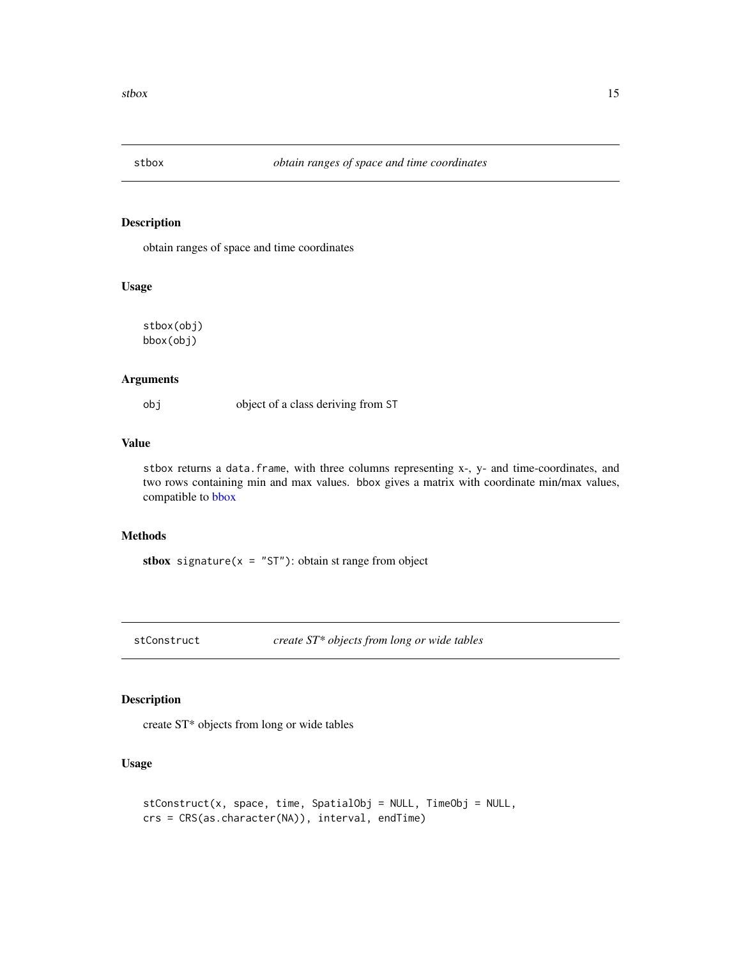<span id="page-14-0"></span>

# <span id="page-14-1"></span>Description

obtain ranges of space and time coordinates

#### Usage

stbox(obj) bbox(obj)

# Arguments

obj object of a class deriving from ST

# Value

stbox returns a data.frame, with three columns representing x-, y- and time-coordinates, and two rows containing min and max values. bbox gives a matrix with coordinate min/max values, compatible to [bbox](#page-14-1)

# Methods

stbox signature( $x = "ST"$ ): obtain st range from object

stConstruct *create ST\* objects from long or wide tables*

# Description

create ST\* objects from long or wide tables

#### Usage

```
stConstruct(x, space, time, SpatialObj = NULL, TimeObj = NULL,
crs = CRS(as.character(NA)), interval, endTime)
```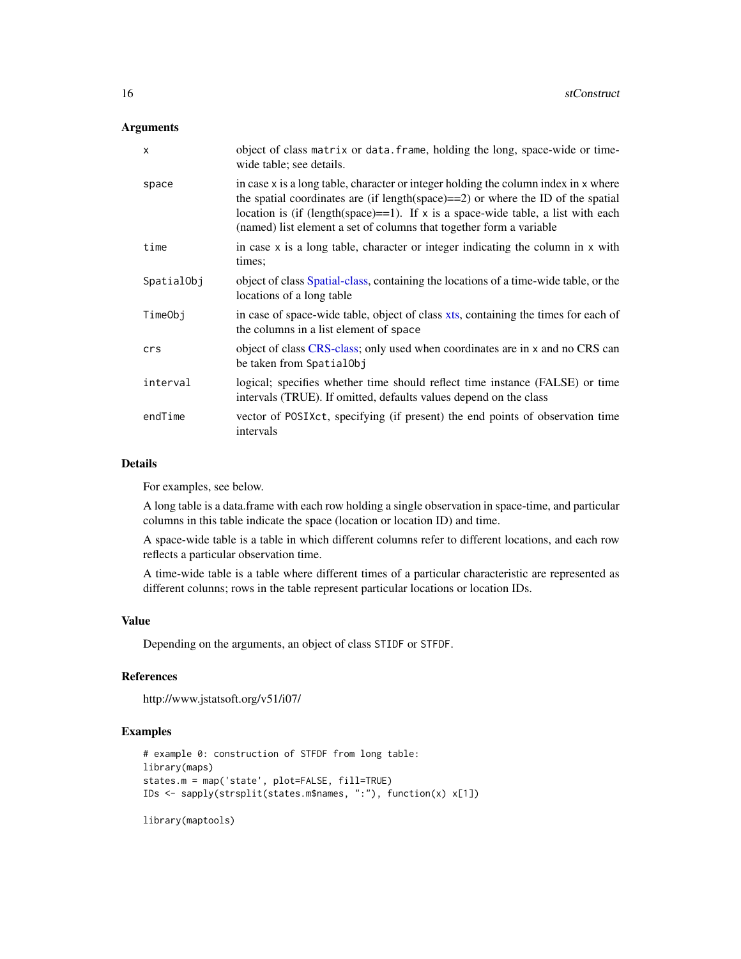# <span id="page-15-0"></span>Arguments

| X          | object of class matrix or data. frame, holding the long, space-wide or time-<br>wide table; see details.                                                                                                                                                                                                                                 |
|------------|------------------------------------------------------------------------------------------------------------------------------------------------------------------------------------------------------------------------------------------------------------------------------------------------------------------------------------------|
| space      | in case x is a long table, character or integer holding the column index in x where<br>the spatial coordinates are (if length(space) $==2$ ) or where the ID of the spatial<br>location is (if (length(space)==1). If $x$ is a space-wide table, a list with each<br>(named) list element a set of columns that together form a variable |
| time       | in case $x$ is a long table, character or integer indicating the column in $x$ with<br>times;                                                                                                                                                                                                                                            |
| SpatialObj | object of class Spatial-class, containing the locations of a time-wide table, or the<br>locations of a long table                                                                                                                                                                                                                        |
| TimeObj    | in case of space-wide table, object of class xts, containing the times for each of<br>the columns in a list element of space                                                                                                                                                                                                             |
| crs        | object of class CRS-class; only used when coordinates are in x and no CRS can<br>be taken from SpatialObj                                                                                                                                                                                                                                |
| interval   | logical; specifies whether time should reflect time instance (FALSE) or time<br>intervals (TRUE). If omitted, defaults values depend on the class                                                                                                                                                                                        |
| endTime    | vector of POSIXct, specifying (if present) the end points of observation time<br>intervals                                                                                                                                                                                                                                               |

#### Details

For examples, see below.

A long table is a data.frame with each row holding a single observation in space-time, and particular columns in this table indicate the space (location or location ID) and time.

A space-wide table is a table in which different columns refer to different locations, and each row reflects a particular observation time.

A time-wide table is a table where different times of a particular characteristic are represented as different colunns; rows in the table represent particular locations or location IDs.

# Value

Depending on the arguments, an object of class STIDF or STFDF.

# References

```
http://www.jstatsoft.org/v51/i07/
```
# Examples

```
# example 0: construction of STFDF from long table:
library(maps)
states.m = map('state', plot=FALSE, fill=TRUE)
IDs <- sapply(strsplit(states.m$names, ":"), function(x) x[1])
```
library(maptools)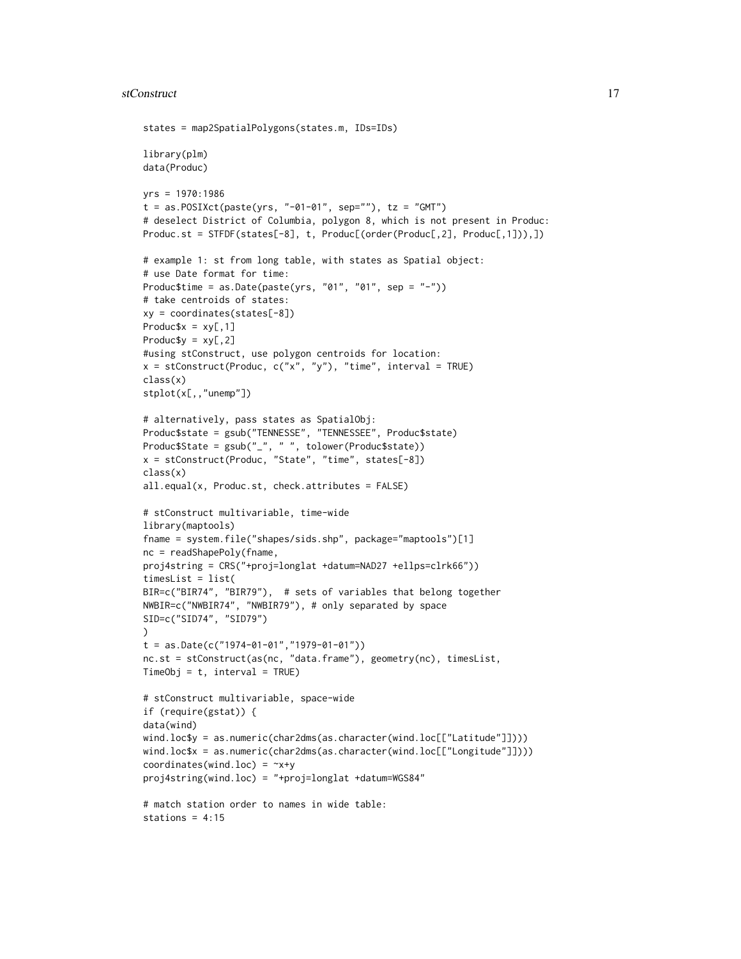```
states = map2SpatialPolygons(states.m, IDs=IDs)
library(plm)
data(Produc)
yrs = 1970:1986
t = as.POSIXct(paste(yrs, "-01-01", sep=""), tz = "GMT")# deselect District of Columbia, polygon 8, which is not present in Produc:
Produc.st = STFDF(states[-8], t, Produc[(order(Produc[,2], Produc[,1])),])
# example 1: st from long table, with states as Spatial object:
# use Date format for time:
Produc$time = as.Date(paste(yrs, "01", "01", sep = "-"))
# take centroids of states:
xy = coordinates(states[-8])
Produc$x = xy[, 1]Produc$y = xy[, 2]
#using stConstruct, use polygon centroids for location:
x = stConstruct(Product, c("x", "y"), "time", interval = TRUE)class(x)
stplot(x[,,"unemp"])
# alternatively, pass states as SpatialObj:
Produc$state = gsub("TENNESSE", "TENNESSEE", Produc$state)
Produc$State = gsub("_", " ", tolower(Produc$state))
x = stConstruct(Produc, "State", "time", states[-8])
class(x)
all.equal(x, Produc.st, check.attributes = FALSE)
# stConstruct multivariable, time-wide
library(maptools)
fname = system.file("shapes/sids.shp", package="maptools")[1]
nc = readShapePoly(fname,
proj4string = CRS("+proj=longlat +datum=NAD27 +ellps=clrk66"))
timesList = list(
BIR=c("BIR74", "BIR79"), # sets of variables that belong together
NWBIR=c("NWBIR74", "NWBIR79"), # only separated by space
SID=c("SID74", "SID79")
)
t = as.Date(c("1974-01-01", "1979-01-01"))nc.st = stConstruct(as(nc, "data.frame"), geometry(nc), timesList,
TimeObj = t, interval = TRUE)
# stConstruct multivariable, space-wide
if (require(gstat)) {
data(wind)
wind.loc$y = as.numeric(char2dms(as.character(wind.loc[["Latitude"]])))
wind.loc$x = as.numeric(char2dms(as.character(wind.loc[["Longitude"]])))
coordinates(wind.loc) = -x+yproj4string(wind.loc) = "+proj=longlat +datum=WGS84"
# match station order to names in wide table:
stations = 4:15
```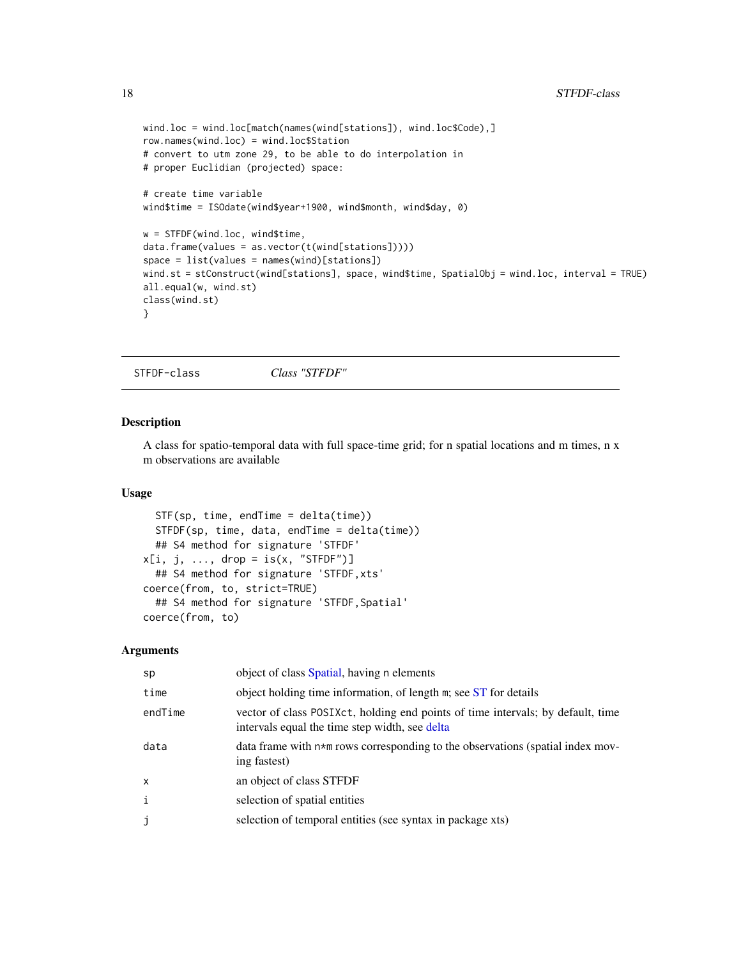```
wind.loc = wind.loc[match(names(wind[stations]), wind.loc$Code),]
row.names(wind.loc) = wind.loc$Station
# convert to utm zone 29, to be able to do interpolation in
# proper Euclidian (projected) space:
# create time variable
wind$time = ISOdate(wind$year+1900, wind$month, wind$day, 0)
w = STFDF(wind.loc, wind$time,
data.frame(values = as.vector(t(wind[stations]))))
space = list(values = names(wind)[stations])
wind.st = stConstruct(wind[stations], space, wind$time, SpatialObj = wind.loc, interval = TRUE)
all.equal(w, wind.st)
class(wind.st)
}
```
STFDF-class *Class "STFDF"*

# <span id="page-17-1"></span>Description

A class for spatio-temporal data with full space-time grid; for n spatial locations and m times, n x m observations are available

# Usage

```
STF(sp, time, endTime = delta(time))
 STFDF(sp, time, data, endTime = delta(time))
  ## S4 method for signature 'STFDF'
x[i, j, ..., drop = is(x, "STEP")## S4 method for signature 'STFDF,xts'
coerce(from, to, strict=TRUE)
  ## S4 method for signature 'STFDF,Spatial'
coerce(from, to)
```
#### Arguments

| sp           | object of class Spatial, having n elements                                                                                        |
|--------------|-----------------------------------------------------------------------------------------------------------------------------------|
| time         | object holding time information, of length m; see ST for details                                                                  |
| endTime      | vector of class POSIXct, holding end points of time intervals; by default, time<br>intervals equal the time step width, see delta |
| data         | data frame with $n \star m$ rows corresponding to the observations (spatial index mov-<br>ing fastest)                            |
| $\mathsf{x}$ | an object of class STFDF                                                                                                          |
| $\mathbf{i}$ | selection of spatial entities                                                                                                     |
| j            | selection of temporal entities (see syntax in package xts)                                                                        |
|              |                                                                                                                                   |

<span id="page-17-0"></span>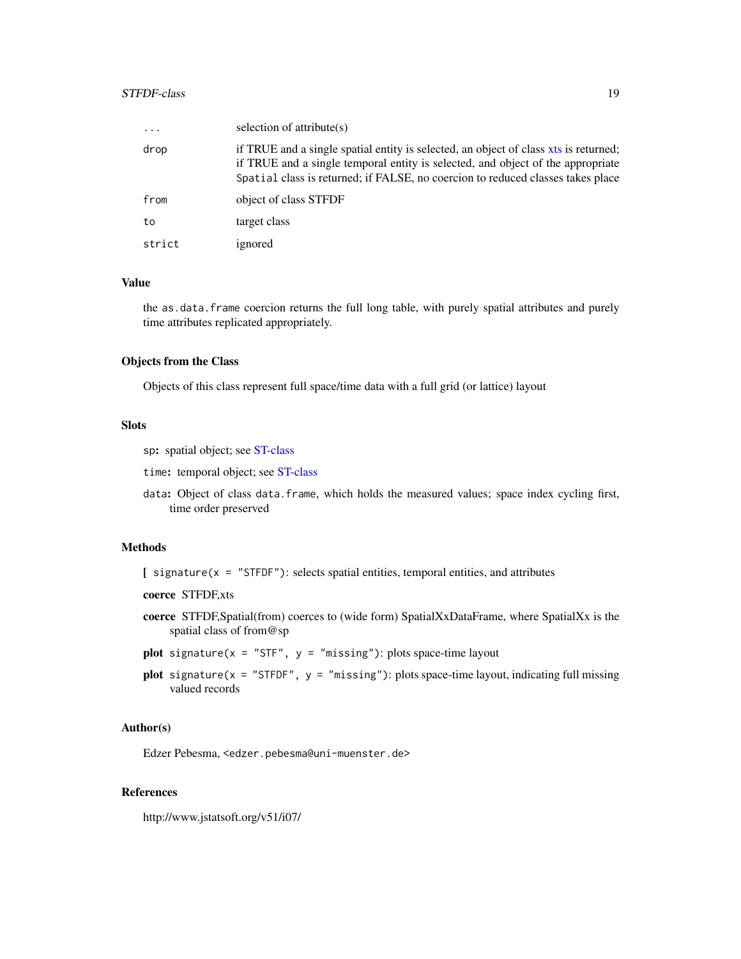#### <span id="page-18-0"></span>STFDF-class 19

| $\ddots$ . | selection of attribute $(s)$                                                                                                                                                                                                                               |
|------------|------------------------------------------------------------------------------------------------------------------------------------------------------------------------------------------------------------------------------------------------------------|
| drop       | if TRUE and a single spatial entity is selected, an object of class xts is returned;<br>if TRUE and a single temporal entity is selected, and object of the appropriate<br>Spatial class is returned; if FALSE, no coercion to reduced classes takes place |
| from       | object of class STFDF                                                                                                                                                                                                                                      |
| to         | target class                                                                                                                                                                                                                                               |
| strict     | ignored                                                                                                                                                                                                                                                    |

# Value

the as.data.frame coercion returns the full long table, with purely spatial attributes and purely time attributes replicated appropriately.

#### Objects from the Class

Objects of this class represent full space/time data with a full grid (or lattice) layout

# Slots

sp: spatial object; see [ST-class](#page-12-2)

time: temporal object; see [ST-class](#page-12-2)

data: Object of class data.frame, which holds the measured values; space index cycling first, time order preserved

# Methods

 $[$  signature(x = "STFDF"): selects spatial entities, temporal entities, and attributes

coerce STFDF,xts

- coerce STFDF,Spatial(from) coerces to (wide form) SpatialXxDataFrame, where SpatialXx is the spatial class of from@sp
- plot signature( $x = "STF", y = "missing": plots space-time layout$
- plot signature( $x =$  "STFDF",  $y =$  "missing"): plots space-time layout, indicating full missing valued records

#### Author(s)

Edzer Pebesma, <edzer.pebesma@uni-muenster.de>

# References

http://www.jstatsoft.org/v51/i07/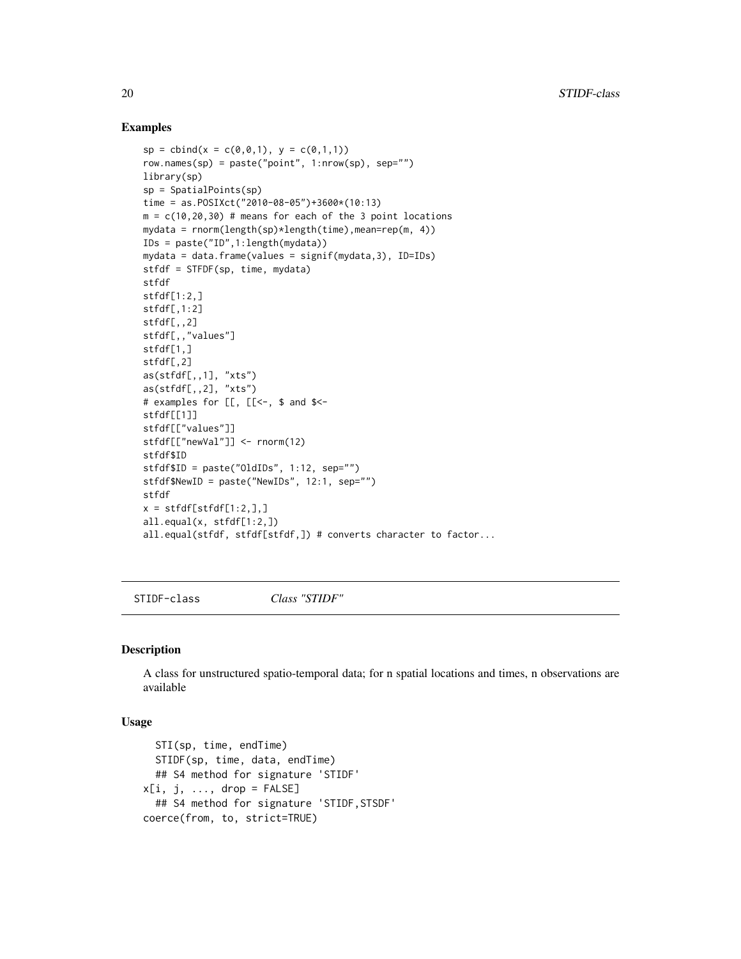# Examples

```
sp = \text{cbind}(x = c(0, 0, 1), y = c(0, 1, 1))row.names(sp) = paste("point", 1:nrow(sp), sep="")
library(sp)
sp = SpatialPoints(sp)
time = as.POSIXct("2010-08-05")+3600*(10:13)
m = c(10, 20, 30) # means for each of the 3 point locations
mydata = rnorm(length(sp)*length(time),mean=rep(m, 4))IDs = paste("ID",1:length(mydata))
mydata = data.frame(values = signif(mydata,3), ID=IDs)
stfdf = STFDF(sp, time, mydata)
stfdf
stfdf[1:2,]stfdf[,1:2]
stfdf[,,2]
stfdf[,,"values"]
stfdf[1,]
stfdf[,2]
as(stfdf[,,1], "xts")
as(stfdf[,,2], "xts")
# examples for [[, [[<-, $ and $<-
stfdf[[1]]
stfdf[["values"]]
stfdf[["newVal"]] <- rnorm(12)
stfdf$ID
stfdf$ID = paste("OldIDs", 1:12, sep="")
stfdf$NewID = paste("NewIDs", 12:1, sep="")
stfdf
x = \text{stfdf}[\text{stfdf}[1:2,],]all.equal(x, stfdf[1:2,])
all.equal(stfdf, stfdf[stfdf,]) # converts character to factor...
```
STIDF-class *Class "STIDF"*

# <span id="page-19-1"></span>Description

A class for unstructured spatio-temporal data; for n spatial locations and times, n observations are available

#### Usage

```
STI(sp, time, endTime)
  STIDF(sp, time, data, endTime)
  ## S4 method for signature 'STIDF'
x[i, j, \ldots, drop = FALSE]## S4 method for signature 'STIDF,STSDF'
coerce(from, to, strict=TRUE)
```
<span id="page-19-0"></span>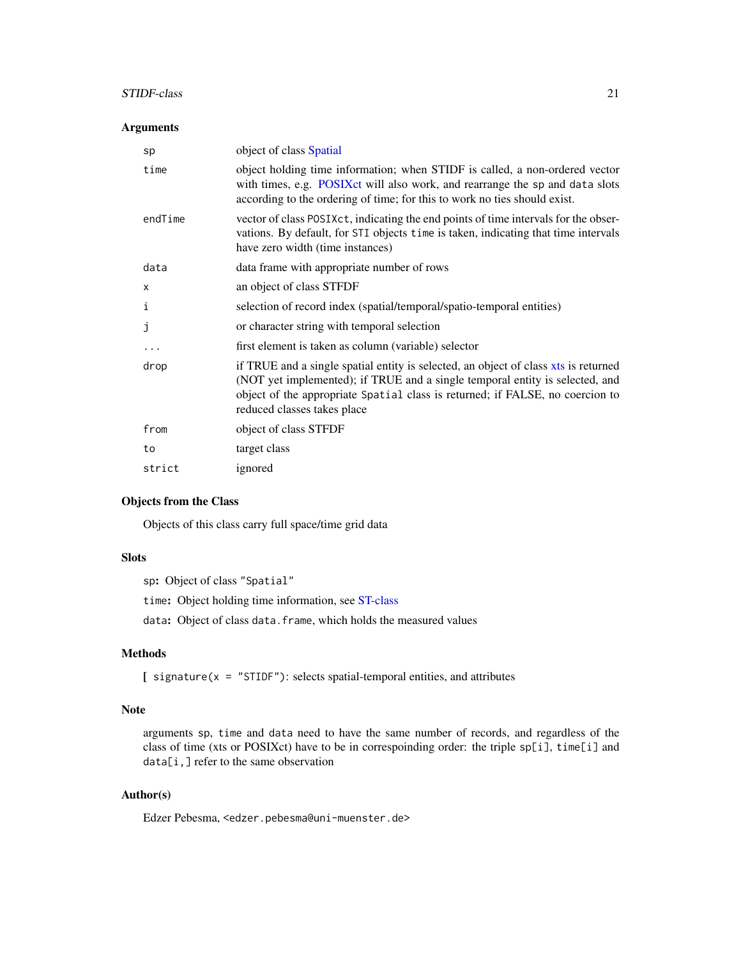# <span id="page-20-0"></span>STIDF-class 21

# Arguments

| object of class Spatial                                                                                                                                                                                                                                                             |
|-------------------------------------------------------------------------------------------------------------------------------------------------------------------------------------------------------------------------------------------------------------------------------------|
| object holding time information; when STIDF is called, a non-ordered vector<br>with times, e.g. POSIXct will also work, and rearrange the sp and data slots<br>according to the ordering of time; for this to work no ties should exist.                                            |
| vector of class POSIXct, indicating the end points of time intervals for the obser-<br>vations. By default, for STI objects time is taken, indicating that time intervals<br>have zero width (time instances)                                                                       |
| data frame with appropriate number of rows                                                                                                                                                                                                                                          |
| an object of class STFDF                                                                                                                                                                                                                                                            |
| selection of record index (spatial/temporal/spatio-temporal entities)                                                                                                                                                                                                               |
| or character string with temporal selection                                                                                                                                                                                                                                         |
| first element is taken as column (variable) selector                                                                                                                                                                                                                                |
| if TRUE and a single spatial entity is selected, an object of class xts is returned<br>(NOT yet implemented); if TRUE and a single temporal entity is selected, and<br>object of the appropriate Spatial class is returned; if FALSE, no coercion to<br>reduced classes takes place |
| object of class STFDF                                                                                                                                                                                                                                                               |
| target class                                                                                                                                                                                                                                                                        |
| ignored                                                                                                                                                                                                                                                                             |
|                                                                                                                                                                                                                                                                                     |

# Objects from the Class

Objects of this class carry full space/time grid data

# Slots

sp: Object of class "Spatial" time: Object holding time information, see [ST-class](#page-12-2)

data: Object of class data.frame, which holds the measured values

# Methods

[ signature(x = "STIDF"): selects spatial-temporal entities, and attributes

#### Note

arguments sp, time and data need to have the same number of records, and regardless of the class of time (xts or POSIXct) have to be in correspoinding order: the triple sp[i], time[i] and data[i,] refer to the same observation

# Author(s)

Edzer Pebesma, <edzer.pebesma@uni-muenster.de>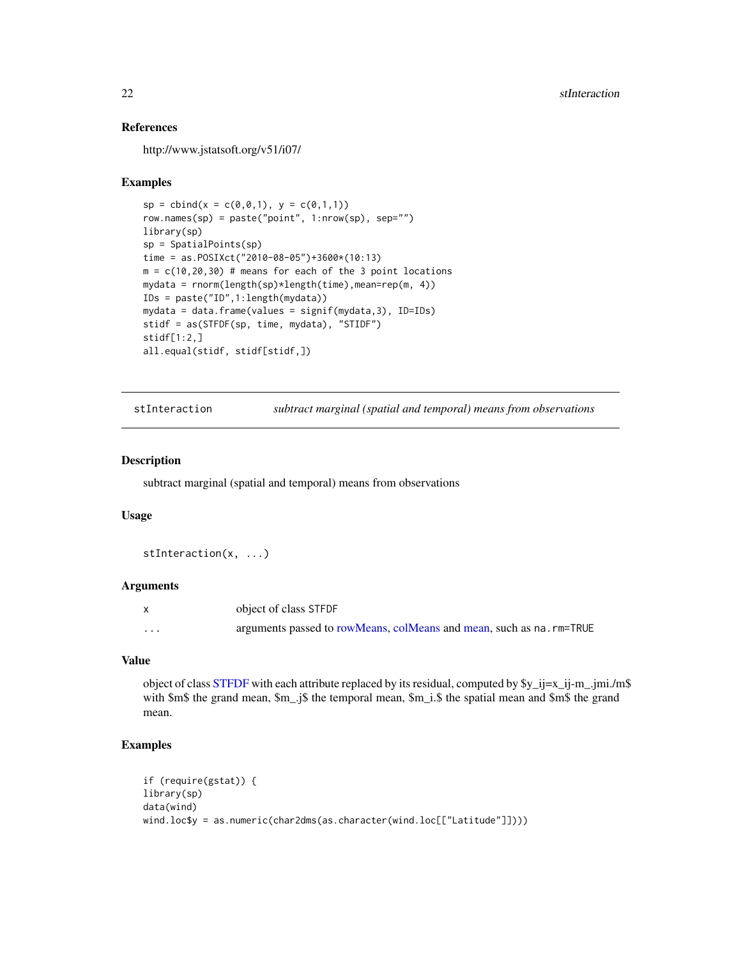# References

http://www.jstatsoft.org/v51/i07/

# Examples

```
sp = \text{cbind}(x = c(0, 0, 1), y = c(0, 1, 1))row.names(sp) = paste("point", 1:nrow(sp), sep="")
library(sp)
sp = SpatialPoints(sp)
time = as.POSIXct("2010-08-05")+3600*(10:13)
m = c(10, 20, 30) # means for each of the 3 point locations
mydata = rnorm(length(sp)*length(time),mean=rep(m, 4))
IDs = paste("ID",1:length(mydata))
mydata = data.frame(values = signif(mydata,3), ID=IDs)
stidf = as(STFDF(sp, time, mydata), "STIDF")
stidf[1:2,]
all.equal(stidf, stidf[stidf,])
```

```
stInteraction subtract marginal (spatial and temporal) means from observations
```
#### Description

subtract marginal (spatial and temporal) means from observations

# Usage

stInteraction(x, ...)

# Arguments

|   | object of class STFDF                                               |
|---|---------------------------------------------------------------------|
| . | arguments passed to rowMeans, colMeans and mean, such as na.rm=TRUE |

#### Value

object of class [STFDF](#page-17-1) with each attribute replaced by its residual, computed by  $y_j = i = x_j - j - m$ . with \$m\$ the grand mean, \$m\_.j\$ the temporal mean, \$m\_i.\$ the spatial mean and \$m\$ the grand mean.

```
if (require(gstat)) {
library(sp)
data(wind)
wind.loc$y = as.numeric(char2dms(as.character(wind.loc[["Latitude"]])))
```
<span id="page-21-0"></span>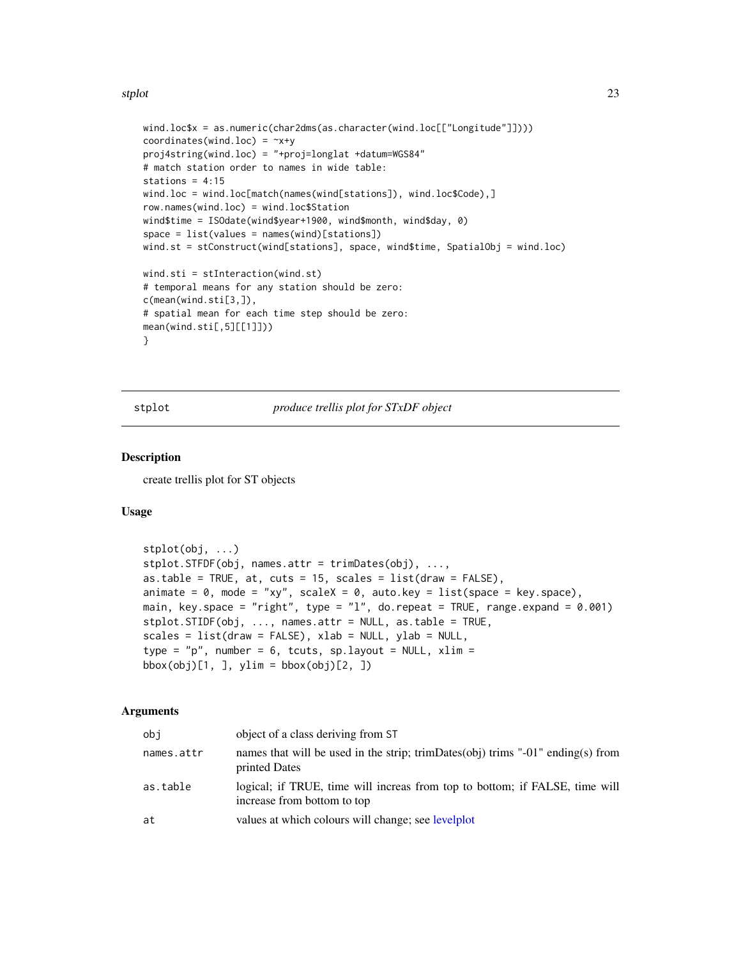#### <span id="page-22-0"></span>stplot 23

```
wind.loc$x = as.numeric(char2dms(as.character(wind.loc[["Longitude"]])))
coordinates(wind.loc) = -x+yproj4string(wind.loc) = "+proj=longlat +datum=WGS84"
# match station order to names in wide table:
stations = 4:15wind.loc = wind.loc[match(names(wind[stations]), wind.loc$Code),]
row.names(wind.loc) = wind.loc$Station
wind$time = ISOdate(wind$year+1900, wind$month, wind$day, 0)
space = list(values = names(wind)[stations])
wind.st = stConstruct(wind[stations], space, wind$time, SpatialObj = wind.loc)
wind.sti = stInteraction(wind.st)
# temporal means for any station should be zero:
c(mean(wind.sti[3,]),
# spatial mean for each time step should be zero:
mean(wind.sti[,5][[1]]))
}
```
stplot *produce trellis plot for STxDF object*

# Description

create trellis plot for ST objects

# Usage

```
stplot(obj, ...)
stplot.STFDF(obj, names.attr = trimDates(obj), ...,
as.table = TRUE, at, cuts = 15, scales = list(draw = FALSE),
animate = 0, mode = "xy", scaleX = 0, auto.key = list(space = key.space),
main, key.space = "right", type = "l", do.repeat = TRUE, range.expand = 0.001)
stplot.STIDF(obj, ..., names.attr = NULL, as.table = TRUE,
scales = list(draw = FALSE), xlab = NULL, ylab = NULL,type = "p", number = 6, tcuts, sp.layout = NULL, xlim =
\text{bbox}(\text{obj})[1, 1, \text{ylim} = \text{bbox}(\text{obj})[2, 1)
```
#### Arguments

| obi        | object of a class deriving from ST                                                                         |
|------------|------------------------------------------------------------------------------------------------------------|
| names.attr | names that will be used in the strip; trimDates(obj) trims "-01" ending(s) from<br>printed Dates           |
| as.table   | logical; if TRUE, time will increas from top to bottom; if FALSE, time will<br>increase from bottom to top |
| at         | values at which colours will change; see levelplot                                                         |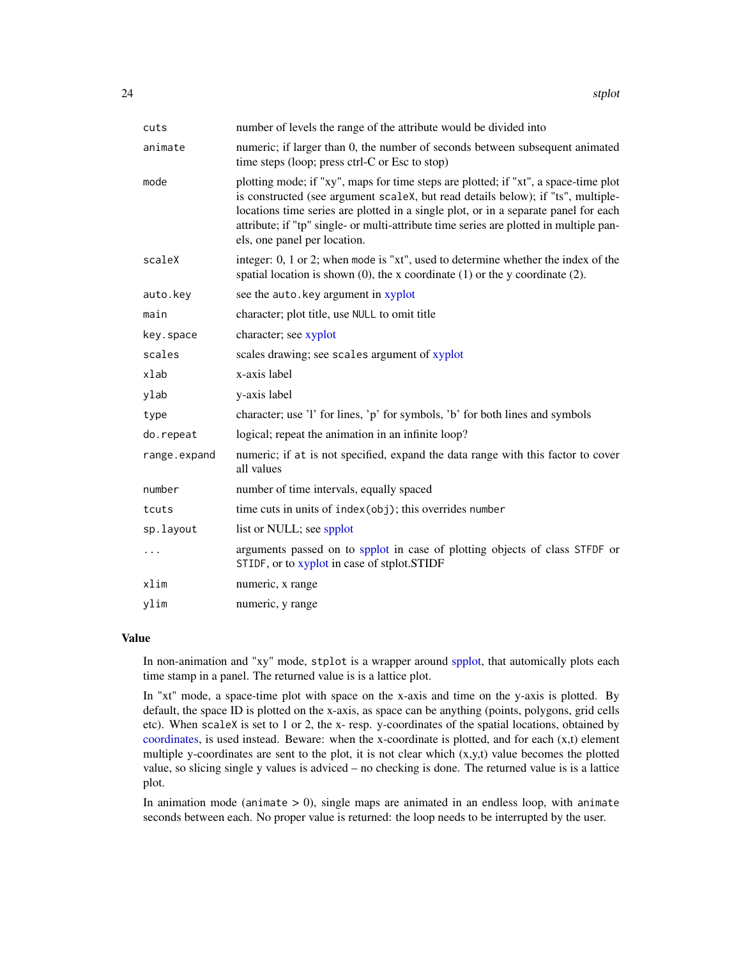<span id="page-23-0"></span>

| cuts         | number of levels the range of the attribute would be divided into                                                                                                                                                                                                                                                                                                                        |
|--------------|------------------------------------------------------------------------------------------------------------------------------------------------------------------------------------------------------------------------------------------------------------------------------------------------------------------------------------------------------------------------------------------|
| animate      | numeric; if larger than 0, the number of seconds between subsequent animated<br>time steps (loop; press ctrl-C or Esc to stop)                                                                                                                                                                                                                                                           |
| mode         | plotting mode; if "xy", maps for time steps are plotted; if "xt", a space-time plot<br>is constructed (see argument scaleX, but read details below); if "ts", multiple-<br>locations time series are plotted in a single plot, or in a separate panel for each<br>attribute; if "tp" single- or multi-attribute time series are plotted in multiple pan-<br>els, one panel per location. |
| scaleX       | integer: 0, 1 or 2; when mode is "xt", used to determine whether the index of the<br>spatial location is shown $(0)$ , the x coordinate $(1)$ or the y coordinate $(2)$ .                                                                                                                                                                                                                |
| auto.key     | see the auto.key argument in xyplot                                                                                                                                                                                                                                                                                                                                                      |
| main         | character; plot title, use NULL to omit title                                                                                                                                                                                                                                                                                                                                            |
| key.space    | character; see xyplot                                                                                                                                                                                                                                                                                                                                                                    |
| scales       | scales drawing; see scales argument of xyplot                                                                                                                                                                                                                                                                                                                                            |
| xlab         | x-axis label                                                                                                                                                                                                                                                                                                                                                                             |
| ylab         | y-axis label                                                                                                                                                                                                                                                                                                                                                                             |
| type         | character; use '1' for lines, 'p' for symbols, 'b' for both lines and symbols                                                                                                                                                                                                                                                                                                            |
| do.repeat    | logical; repeat the animation in an infinite loop?                                                                                                                                                                                                                                                                                                                                       |
| range.expand | numeric; if at is not specified, expand the data range with this factor to cover<br>all values                                                                                                                                                                                                                                                                                           |
| number       | number of time intervals, equally spaced                                                                                                                                                                                                                                                                                                                                                 |
| tcuts        | time cuts in units of index(obj); this overrides number                                                                                                                                                                                                                                                                                                                                  |
| sp.layout    | list or NULL; see spplot                                                                                                                                                                                                                                                                                                                                                                 |
| $\cdots$     | arguments passed on to spplot in case of plotting objects of class STFDF or<br>STIDF, or to xyplot in case of stplot.STIDF                                                                                                                                                                                                                                                               |
| xlim         | numeric, x range                                                                                                                                                                                                                                                                                                                                                                         |
| ylim         | numeric, y range                                                                                                                                                                                                                                                                                                                                                                         |

# Value

In non-animation and "xy" mode, stplot is a wrapper around [spplot,](#page-0-0) that automically plots each time stamp in a panel. The returned value is is a lattice plot.

In "xt" mode, a space-time plot with space on the x-axis and time on the y-axis is plotted. By default, the space ID is plotted on the x-axis, as space can be anything (points, polygons, grid cells etc). When scaleX is set to 1 or 2, the x- resp. y-coordinates of the spatial locations, obtained by [coordinates,](#page-0-0) is used instead. Beware: when the x-coordinate is plotted, and for each  $(x,t)$  element multiple y-coordinates are sent to the plot, it is not clear which  $(x,y,t)$  value becomes the plotted value, so slicing single y values is adviced – no checking is done. The returned value is is a lattice plot.

In animation mode (animate  $> 0$ ), single maps are animated in an endless loop, with animate seconds between each. No proper value is returned: the loop needs to be interrupted by the user.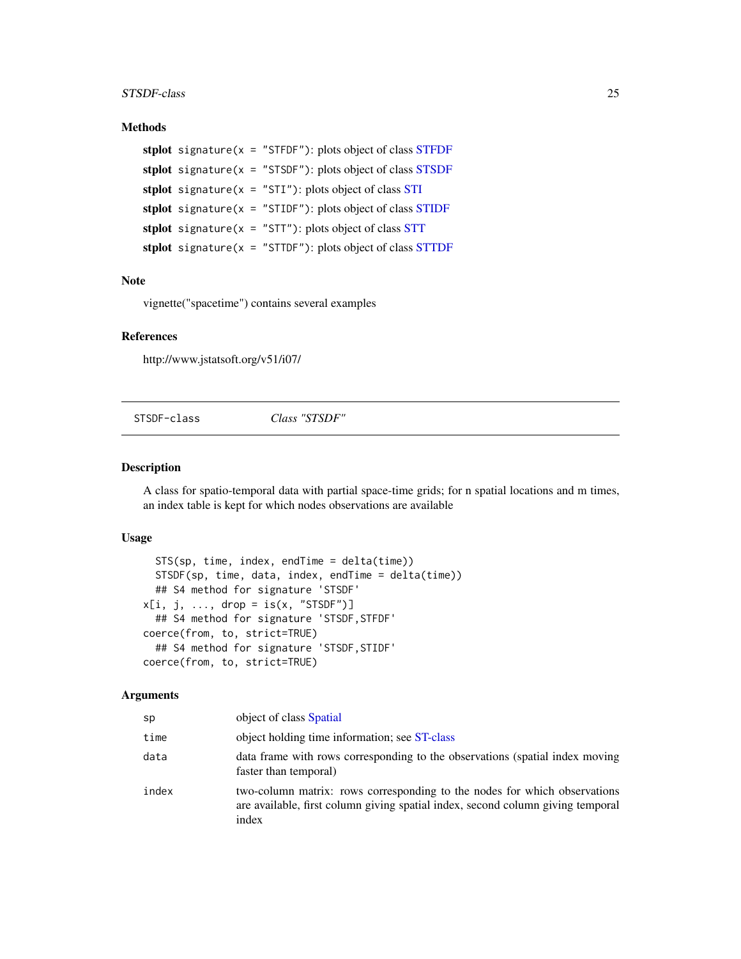#### <span id="page-24-0"></span>STSDF-class 25

# Methods

```
stplot signature(x =STFDF"): plots object of class STFDF
stplot signature(x =STSDF"): plots object of class STSDF
stplot signature(STI"): plots object of class STI
stplot signature(x =STIDF"): plots object of class STIDF
stplot signature(STT"): plots object of class STT
stplot signature(x =STTDF"): plots object of class STTDF
```
# Note

vignette("spacetime") contains several examples

# References

http://www.jstatsoft.org/v51/i07/

STSDF-class *Class "STSDF"*

# <span id="page-24-1"></span>Description

A class for spatio-temporal data with partial space-time grids; for n spatial locations and m times, an index table is kept for which nodes observations are available

# Usage

```
STS(sp, time, index, endTime = delta(time))
  STSDF(sp, time, data, index, endTime = delta(time))
  ## S4 method for signature 'STSDF'
x[i, j, ..., drop = is(x, "STSDF")## S4 method for signature 'STSDF,STFDF'
coerce(from, to, strict=TRUE)
  ## S4 method for signature 'STSDF,STIDF'
coerce(from, to, strict=TRUE)
```
#### Arguments

| sp    | object of class Spatial                                                                                                                                               |
|-------|-----------------------------------------------------------------------------------------------------------------------------------------------------------------------|
| time  | object holding time information; see ST-class                                                                                                                         |
| data  | data frame with rows corresponding to the observations (spatial index moving<br>faster than temporal)                                                                 |
| index | two-column matrix: rows corresponding to the nodes for which observations<br>are available, first column giving spatial index, second column giving temporal<br>index |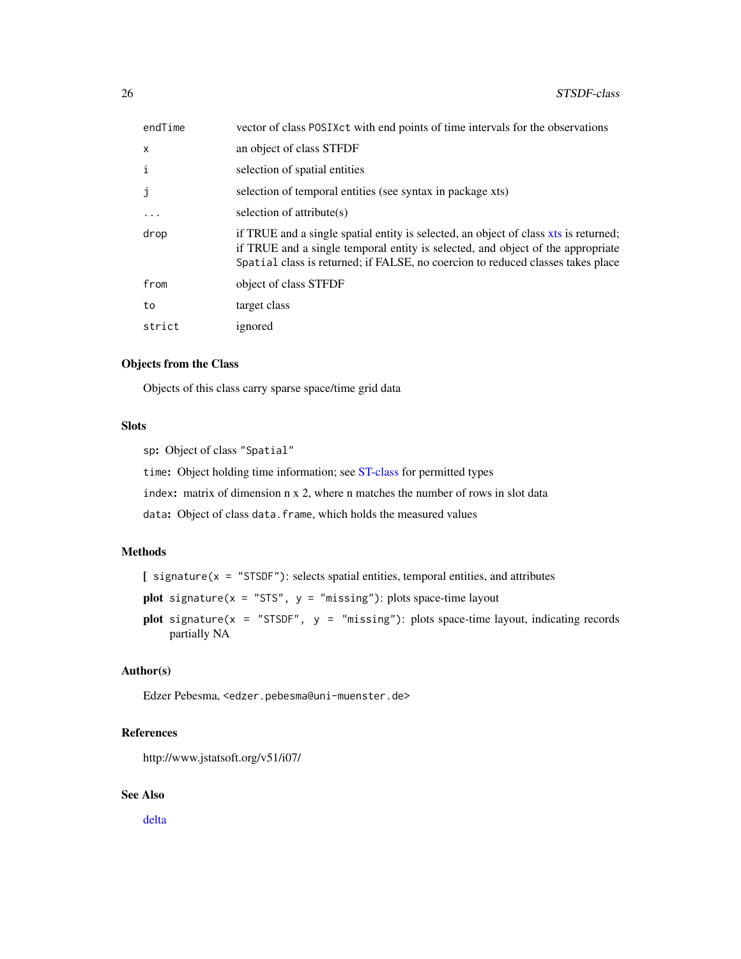<span id="page-25-0"></span>

| endTime                   | vector of class POSIXct with end points of time intervals for the observations                                                                                                                                                                             |
|---------------------------|------------------------------------------------------------------------------------------------------------------------------------------------------------------------------------------------------------------------------------------------------------|
| $\boldsymbol{\mathsf{x}}$ | an object of class STFDF                                                                                                                                                                                                                                   |
| i                         | selection of spatial entities                                                                                                                                                                                                                              |
| j                         | selection of temporal entities (see syntax in package xts)                                                                                                                                                                                                 |
| $\cdot$                   | selection of attribute $(s)$                                                                                                                                                                                                                               |
| drop                      | if TRUE and a single spatial entity is selected, an object of class xts is returned;<br>if TRUE and a single temporal entity is selected, and object of the appropriate<br>Spatial class is returned; if FALSE, no coercion to reduced classes takes place |
| from                      | object of class STFDF                                                                                                                                                                                                                                      |
| to                        | target class                                                                                                                                                                                                                                               |
| strict                    | ignored                                                                                                                                                                                                                                                    |

#### Objects from the Class

Objects of this class carry sparse space/time grid data

# Slots

sp: Object of class "Spatial"

time: Object holding time information; see [ST-class](#page-12-2) for permitted types

index: matrix of dimension n x 2, where n matches the number of rows in slot data

data: Object of class data.frame, which holds the measured values

# Methods

 $[$  signature(x = "STSDF"): selects spatial entities, temporal entities, and attributes

**plot** signature( $x = "STS", y = "missing"$ ): plots space-time layout

plot signature(x = "STSDF",  $y =$  "missing"): plots space-time layout, indicating records partially NA

# Author(s)

Edzer Pebesma, <edzer.pebesma@uni-muenster.de>

# References

http://www.jstatsoft.org/v51/i07/

# See Also

[delta](#page-2-1)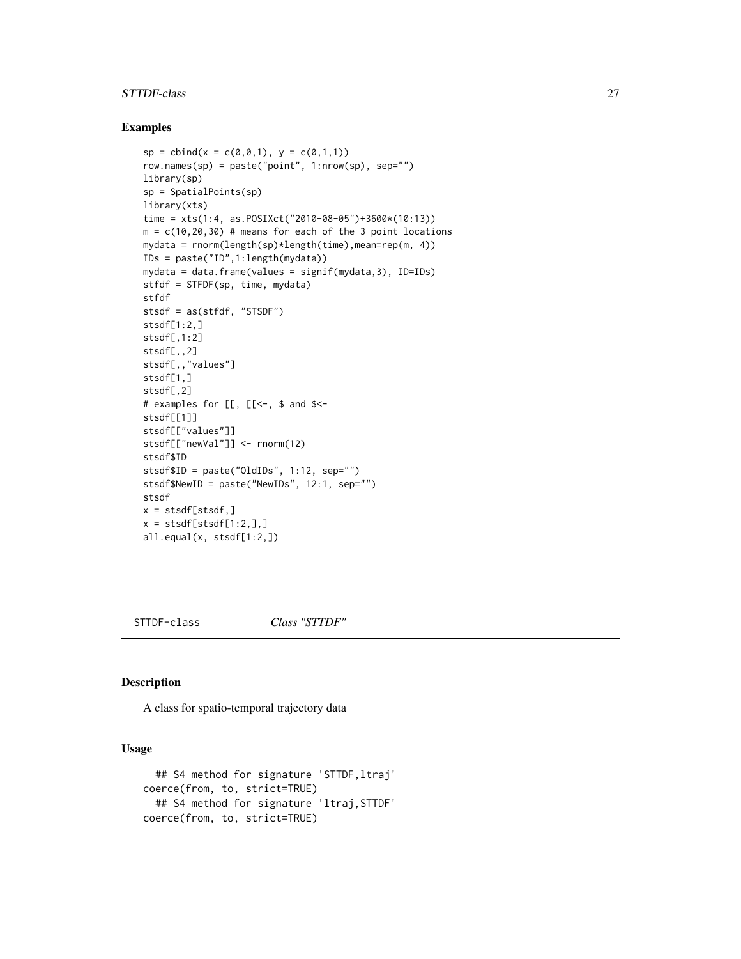#### <span id="page-26-0"></span>STTDF-class 27

#### Examples

```
sp = chind(x = c(0, 0, 1), y = c(0, 1, 1))row.names(sp) = paste("point", 1:nrow(sp), sep="")
library(sp)
sp = SpatialPoints(sp)
library(xts)
time = xts(1:4, as.POSIXct("2010-08-05")+3600*(10:13))
m = c(10, 20, 30) # means for each of the 3 point locations
mydata = rnorm(length(sp)*length(time),mean=rep(m, 4))
IDs = paste("ID",1:length(mydata))
mydata = data.frame(values = signif(mydata,3), ID=IDs)
stfdf = STFDF(sp, time, mydata)
stfdf
stsdf = as(stfdf, "STSDF")
stsdf[1:2,]
stsdf[,1:2]
stsdf[,,2]
stsdf[,,"values"]
stsdf[1,]
stsdf[,2]
# examples for [[, [[<-, $ and $<-
stsdf[[1]]
stsdf[["values"]]
stsdf[["newVal"]] <- rnorm(12)
stsdf$ID
stsdf$ID = paste("OldIDs", 1:12, sep="")
stsdf$NewID = paste("NewIDs", 12:1, sep="")
stsdf
x = \text{stsdf}[\text{stsdf}, ]x = \text{stsdf}[\text{stsdf}[1:2,],]all.equal(x, stsdf[1:2,])
```
STTDF-class *Class "STTDF"*

#### <span id="page-26-1"></span>Description

A class for spatio-temporal trajectory data

# Usage

```
## S4 method for signature 'STTDF,ltraj'
coerce(from, to, strict=TRUE)
  ## S4 method for signature 'ltraj,STTDF'
coerce(from, to, strict=TRUE)
```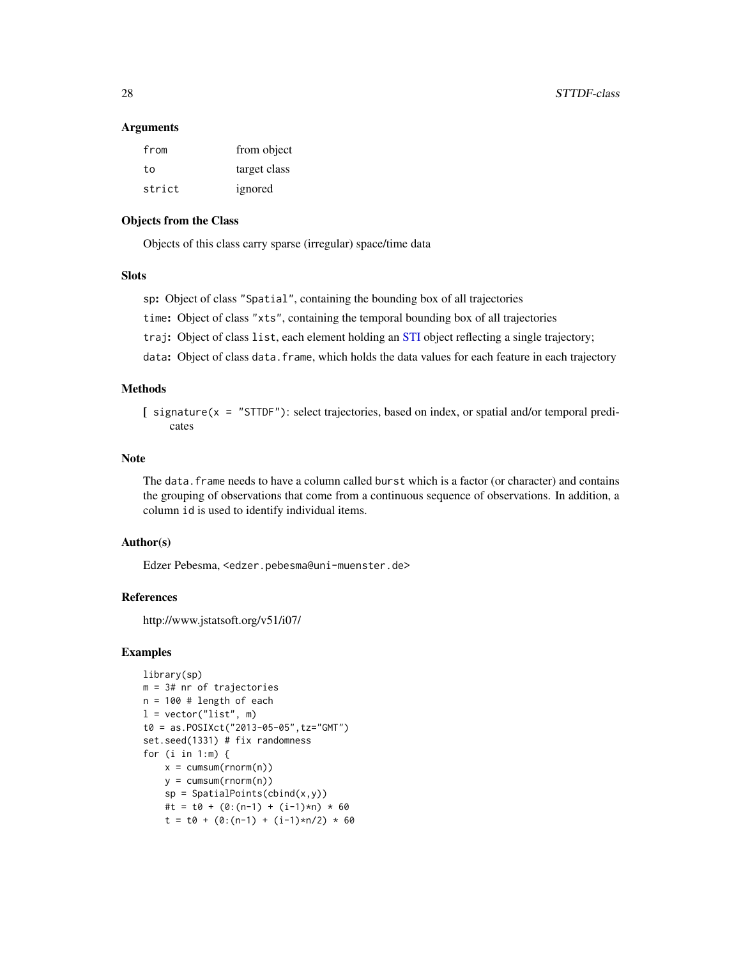#### <span id="page-27-0"></span>Arguments

| from   | from object  |
|--------|--------------|
| t٥     | target class |
| strict | ignored      |

# Objects from the Class

Objects of this class carry sparse (irregular) space/time data

# **Slots**

sp: Object of class "Spatial", containing the bounding box of all trajectories

time: Object of class "xts", containing the temporal bounding box of all trajectories

traj: Object of class list, each element holding an [STI](#page-19-1) object reflecting a single trajectory;

data: Object of class data.frame, which holds the data values for each feature in each trajectory

#### Methods

[ signature(x = "STTDF"): select trajectories, based on index, or spatial and/or temporal predicates

# Note

The data. frame needs to have a column called burst which is a factor (or character) and contains the grouping of observations that come from a continuous sequence of observations. In addition, a column id is used to identify individual items.

#### Author(s)

Edzer Pebesma, <edzer.pebesma@uni-muenster.de>

# References

http://www.jstatsoft.org/v51/i07/

```
library(sp)
m = 3# nr of trajectories
n = 100 # length of each
l = vector("list", m)t0 = as.POSIXct("2013-05-05",tz="GMT")
set.seed(1331) # fix randomness
for (i in 1:m) {
    x = \text{cumsum}(rnorm(n))y = \text{cumsum}(rnorm(n))sp = SpatialPoints(cbind(x,y))#t = t0 + (0:(n-1) + (i-1)*n) * 60t = t0 + (0:(n-1) + (i-1)*n/2) * 60
```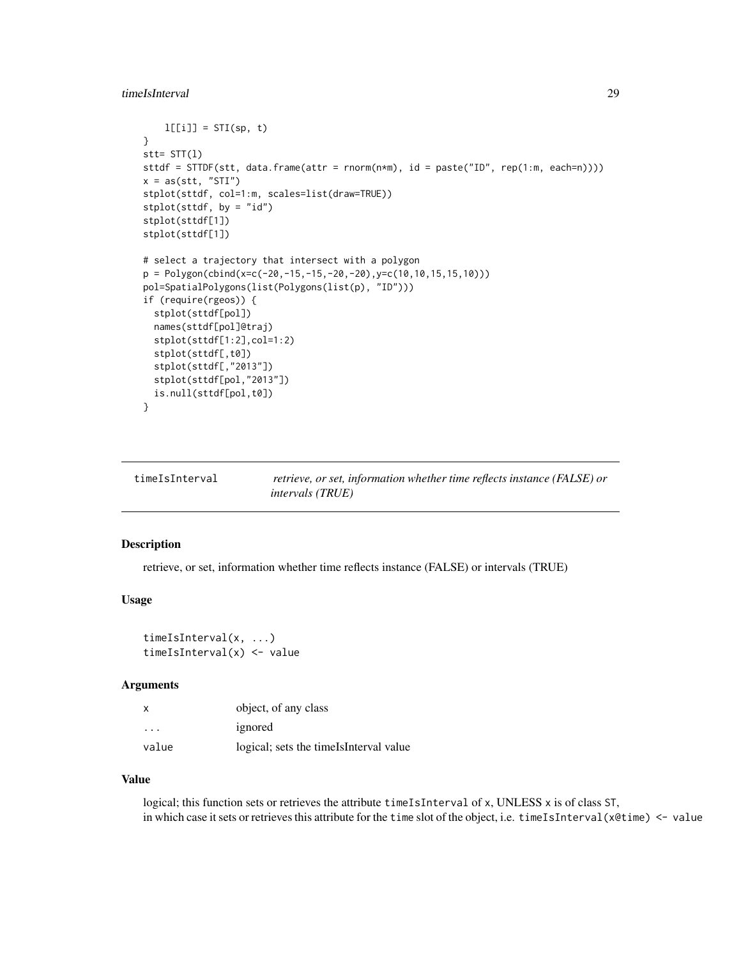```
l[[i]] = STI(sp, t)}
stt= STT(l)
sttdf = STTDF(stt, data.frame(attr = rnorm(n*m), id = paste("ID", rep(1:m, each=n))))
x = as(stt, "STI")stplot(sttdf, col=1:m, scales=list(draw=TRUE))
stplot(sttdf, by = "id")
stplot(sttdf[1])
stplot(sttdf[1])
# select a trajectory that intersect with a polygon
p = Polygon(cbind(x=c(-20,-15,-15,-20,-20),y=c(10,10,15,15,10)))
pol=SpatialPolygons(list(Polygons(list(p), "ID")))
if (require(rgeos)) {
  stplot(sttdf[pol])
  names(sttdf[pol]@traj)
  stplot(sttdf[1:2],col=1:2)
  stplot(sttdf[,t0])
  stplot(sttdf[,"2013"])
  stplot(sttdf[pol,"2013"])
  is.null(sttdf[pol,t0])
}
```
<span id="page-28-1"></span>

| timeIsInterval | retrieve, or set, information whether time reflects instance (FALSE) or |
|----------------|-------------------------------------------------------------------------|
|                | <i>intervals (TRUE)</i>                                                 |

#### Description

retrieve, or set, information whether time reflects instance (FALSE) or intervals (TRUE)

#### Usage

```
timeIsInterval(x, ...)
timeIsInterval(x) <- value
```
# Arguments

| $\boldsymbol{\mathsf{x}}$ | object, of any class                    |
|---------------------------|-----------------------------------------|
| $\cdot$                   | ignored                                 |
| value                     | logical; sets the timels Interval value |

#### Value

logical; this function sets or retrieves the attribute timeIsInterval of x, UNLESS x is of class ST, in which case it sets or retrieves this attribute for the time slot of the object, i.e. timeIsInterval( $x$ @time)  $\le$  value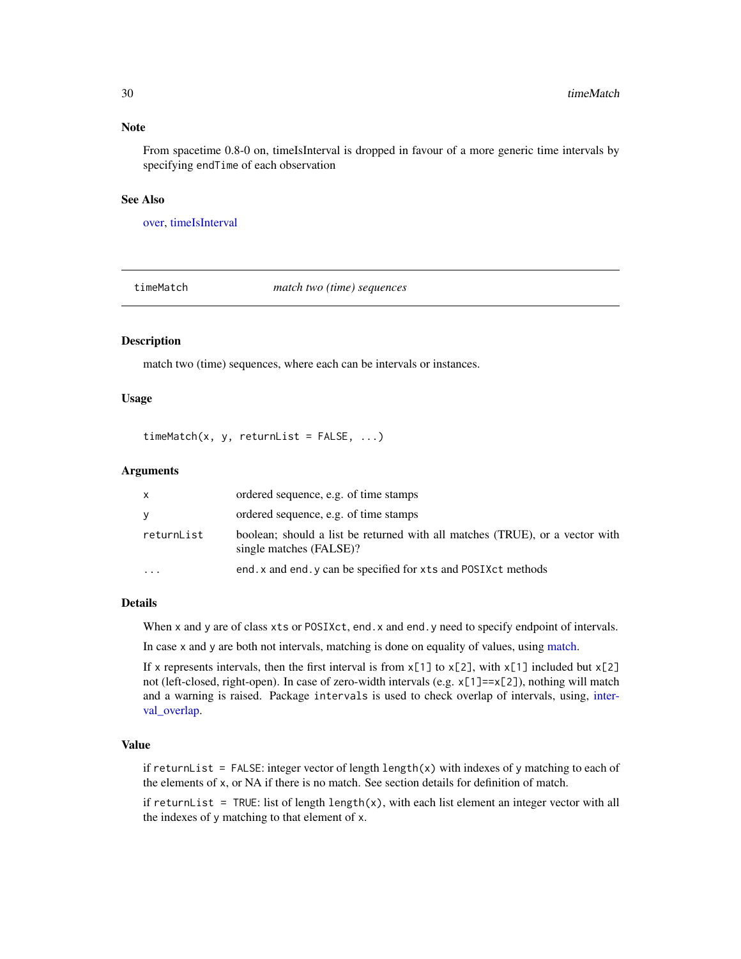# Note

From spacetime 0.8-0 on, timeIsInterval is dropped in favour of a more generic time intervals by specifying endTime of each observation

# See Also

[over,](#page-10-1) [timeIsInterval](#page-28-1)

<span id="page-29-1"></span>timeMatch *match two (time) sequences*

#### Description

match two (time) sequences, where each can be intervals or instances.

# Usage

 $timeMatch(x, y, returnList = FALSE, ...)$ 

#### Arguments

| X          | ordered sequence, e.g. of time stamps                                                                   |
|------------|---------------------------------------------------------------------------------------------------------|
| y          | ordered sequence, e.g. of time stamps                                                                   |
| returnList | boolean; should a list be returned with all matches (TRUE), or a vector with<br>single matches (FALSE)? |
| $\ddotsc$  | end, x and end, y can be specified for xts and POSIXct methods                                          |

#### Details

When x and y are of class xts or POSIXct, end. x and end. y need to specify endpoint of intervals.

In case x and y are both not intervals, matching is done on equality of values, using [match.](#page-0-0)

If x represents intervals, then the first interval is from  $x[1]$  to  $x[2]$ , with  $x[1]$  included but  $x[2]$ not (left-closed, right-open). In case of zero-width intervals (e.g. x[1]==x[2]), nothing will match and a warning is raised. Package intervals is used to check overlap of intervals, using, [inter](#page-0-0)[val\\_overlap.](#page-0-0)

# Value

if returnList = FALSE: integer vector of length length(x) with indexes of y matching to each of the elements of x, or NA if there is no match. See section details for definition of match.

if returnList = TRUE: list of length length $(x)$ , with each list element an integer vector with all the indexes of y matching to that element of x.

<span id="page-29-0"></span>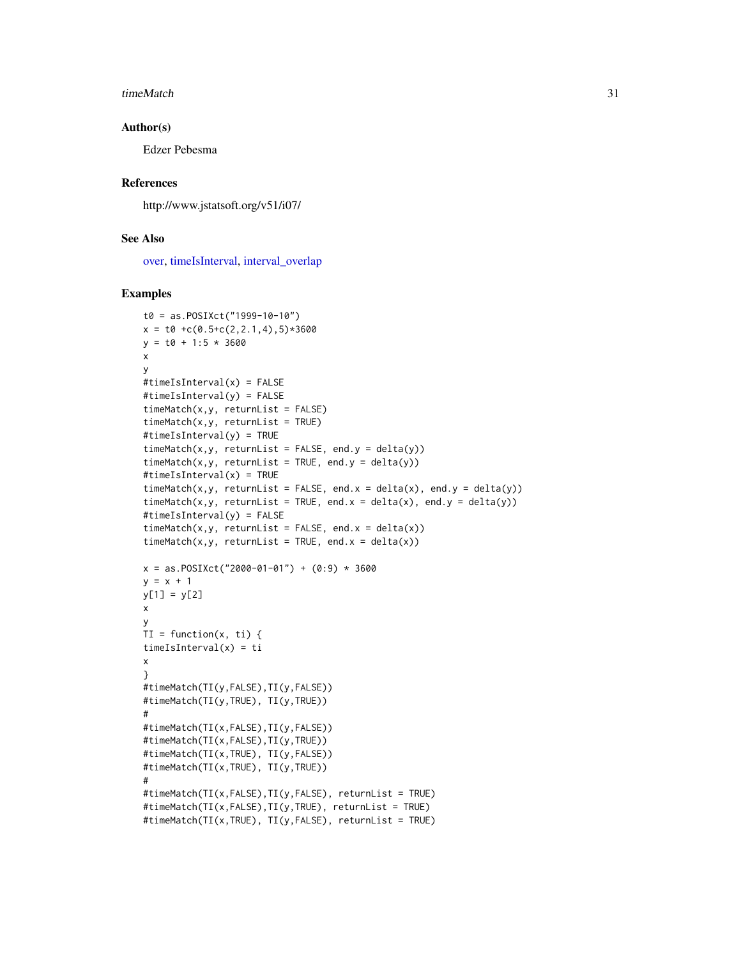#### <span id="page-30-0"></span>timeMatch 31

#### Author(s)

Edzer Pebesma

#### References

http://www.jstatsoft.org/v51/i07/

# See Also

[over,](#page-10-1) [timeIsInterval,](#page-28-1) [interval\\_overlap](#page-0-0)

```
t0 = as.POSIXct("1999-10-10")
x = t0 + c(0.5+c(2,2.1,4),5) * 3600y = t0 + 1:5 * 3600x
y
#timeIsInterval(x) = FALSE
#timeIsInterval(y) = FALSE
timeMatch(x,y, returnList = FALSE)timeMatch(x,y, returnList = TRUE)#timeIsInterval(y) = TRUE
timeMatch(x,y, returnList = FALSE, end.y = delta(y))
timeMatch(x,y, returnList = TRUE, end.y = delta(y))#timeIsInterval(x) = TRUE
timeMatch(x,y, returnList = FALSE, end.x = delta(x), end.y = delta(y))
timeMatch(x,y, returnList = TRUE, end.x = delta(x), end.y = delta(y))
#timeIsInterval(y) = FALSE
timeMatch(x, y, returnList = FALSE, end.x = delta(x))timeMatch(x, y, returnList = TRUE, end.x = delta(x))x = as.POSIXct("2000-01-01") + (0:9) * 3600y = x + 1y[1] = y[2]x
y
TI = function(x, ti) {
timeIsInterval(x) = ti
x
}
#timeMatch(TI(y,FALSE),TI(y,FALSE))
#timeMatch(TI(y,TRUE), TI(y,TRUE))
#
#timeMatch(TI(x,FALSE),TI(y,FALSE))
#timeMatch(TI(x,FALSE),TI(y,TRUE))
#timeMatch(TI(x,TRUE), TI(y,FALSE))
#timeMatch(TI(x,TRUE), TI(y,TRUE))
#
#timeMatch(TI(x,FALSE),TI(y,FALSE), returnList = TRUE)
#timeMatch(TI(x,FALSE),TI(y,TRUE), returnList = TRUE)
#timeMatch(TI(x,TRUE), TI(y,FALSE), returnList = TRUE)
```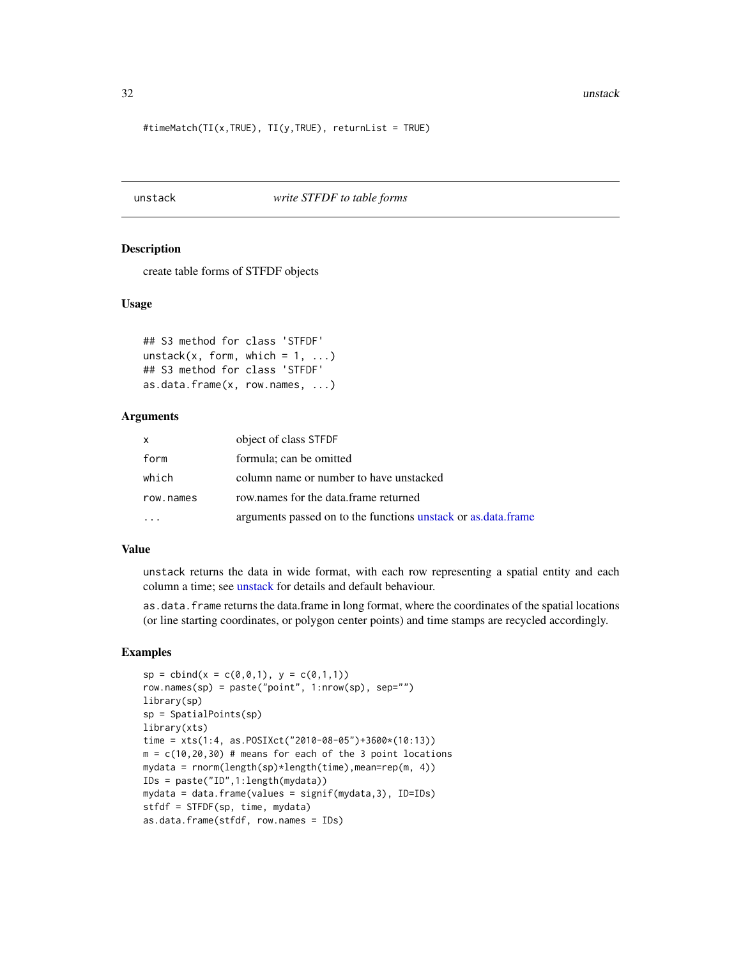<span id="page-31-0"></span>#timeMatch(TI(x,TRUE), TI(y,TRUE), returnList = TRUE)

# <span id="page-31-1"></span>unstack *write STFDF to table forms*

#### **Description**

create table forms of STFDF objects

# Usage

```
## S3 method for class 'STFDF'
unstack(x, form, which = 1, ...)
## S3 method for class 'STFDF'
as.data.frame(x, row.names, ...)
```
# Arguments

| $\mathsf{x}$ | object of class STFDF                                         |
|--------------|---------------------------------------------------------------|
| form         | formula; can be omitted                                       |
| which        | column name or number to have unstacked                       |
| row.names    | row names for the data frame returned                         |
|              | arguments passed on to the functions unstack or as data frame |

#### Value

unstack returns the data in wide format, with each row representing a spatial entity and each column a time; see [unstack](#page-31-1) for details and default behaviour.

as.data.frame returns the data.frame in long format, where the coordinates of the spatial locations (or line starting coordinates, or polygon center points) and time stamps are recycled accordingly.

```
sp = \text{cbind}(x = c(0, 0, 1), y = c(0, 1, 1))row.names(sp) = paste("point", 1:nrow(sp), sep="")
library(sp)
sp = SpatialPoints(sp)
library(xts)
time = xts(1:4, as.POSIXct("2010-08-05")+3600*(10:13))
m = c(10, 20, 30) # means for each of the 3 point locations
mydata = rnorm(length(sp)*length(time),mean=rep(m, 4))
IDs = paste("ID",1:length(mydata))
mydata = data.frame(values = signif(mydata,3), ID=IDs)
stfdf = STFDF(sp, time, mydata)
as.data.frame(stfdf, row.names = IDs)
```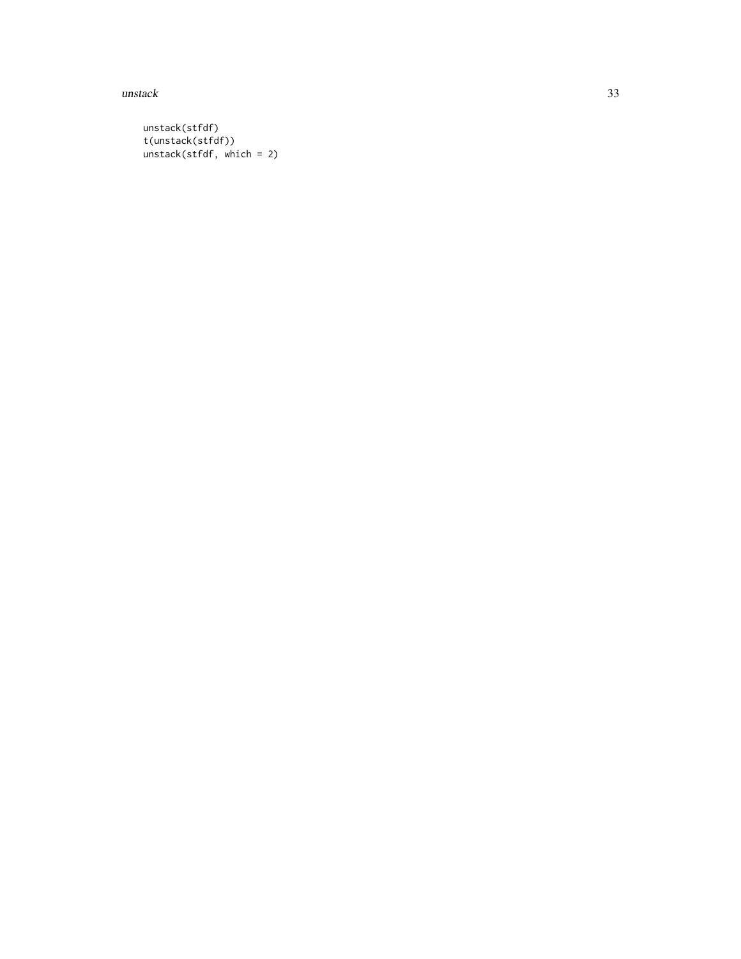$unstack$  33

unstack(stfdf) t(unstack(stfdf)) unstack(stfdf, which = 2)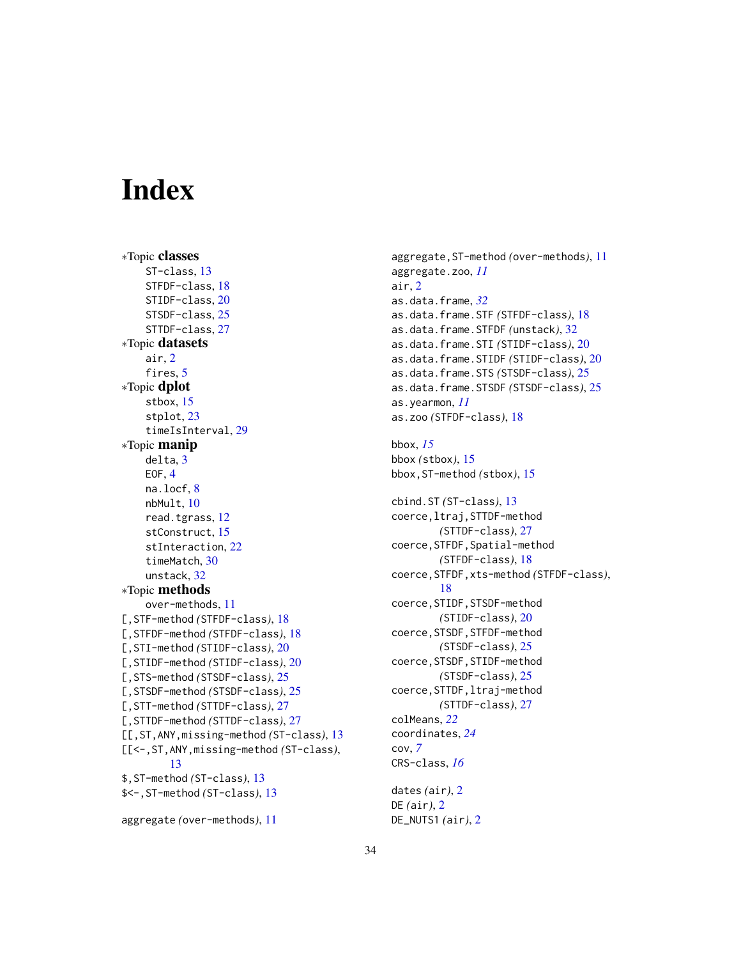# <span id="page-33-0"></span>Index

```
∗Topic classes
    ST-class, 13
    STFDF-class, 18
    STIDF-class, 20
    STSDF-class, 25
    STTDF-class, 27
∗Topic datasets
    air, 2
    fires, 5
∗Topic dplot
    stbox, 15
    stplot, 23
    timeIsInterval, 29
∗Topic manip
    delta, 3
    EOF, 4
    na.locf, 8
    nbMult, 10
    read.tgrass, 12
    stConstruct, 15
    stInteraction, 22
    timeMatch, 30
    unstack, 32
∗Topic methods
    over-methods, 11
[,STF-method (STFDF-class), 18
[,STFDF-method (STFDF-class), 18
[,STI-method (STIDF-class), 20
[,STIDF-method (STIDF-class), 20
[,STS-method (STSDF-class), 25
[,STSDF-method (STSDF-class), 25
[,STT-method (STTDF-class), 27
[,STTDF-method (STTDF-class), 27
[[,ST,ANY,missing-method (ST-class), 13
[[<-,ST,ANY,missing-method (ST-class),
        13
$,ST-method (ST-class), 13
$<-,ST-method (ST-class), 13
```

```
aggregate (over-methods), 11
```
aggregate,ST-method *(*over-methods*)*, [11](#page-10-0) aggregate.zoo, *[11](#page-10-0)* air, [2](#page-1-0) as.data.frame, *[32](#page-31-0)* as.data.frame.STF *(*STFDF-class*)*, [18](#page-17-0) as.data.frame.STFDF *(*unstack*)*, [32](#page-31-0) as.data.frame.STI *(*STIDF-class*)*, [20](#page-19-0) as.data.frame.STIDF *(*STIDF-class*)*, [20](#page-19-0) as.data.frame.STS *(*STSDF-class*)*, [25](#page-24-0) as.data.frame.STSDF *(*STSDF-class*)*, [25](#page-24-0) as.yearmon, *[11](#page-10-0)* as.zoo *(*STFDF-class*)*, [18](#page-17-0) bbox, *[15](#page-14-0)* bbox *(*stbox*)*, [15](#page-14-0) bbox,ST-method *(*stbox*)*, [15](#page-14-0) cbind.ST *(*ST-class*)*, [13](#page-12-0) coerce,ltraj,STTDF-method *(*STTDF-class*)*, [27](#page-26-0) coerce,STFDF,Spatial-method *(*STFDF-class*)*, [18](#page-17-0) coerce,STFDF,xts-method *(*STFDF-class*)*, [18](#page-17-0) coerce,STIDF,STSDF-method *(*STIDF-class*)*, [20](#page-19-0) coerce,STSDF,STFDF-method *(*STSDF-class*)*, [25](#page-24-0) coerce,STSDF,STIDF-method *(*STSDF-class*)*, [25](#page-24-0) coerce,STTDF,ltraj-method *(*STTDF-class*)*, [27](#page-26-0) colMeans, *[22](#page-21-0)* coordinates, *[24](#page-23-0)* cov, *[7](#page-6-0)* CRS-class, *[16](#page-15-0)* dates *(*air*)*, [2](#page-1-0)

DE *(*air*)*, [2](#page-1-0) DE\_NUTS1 *(*air*)*, [2](#page-1-0)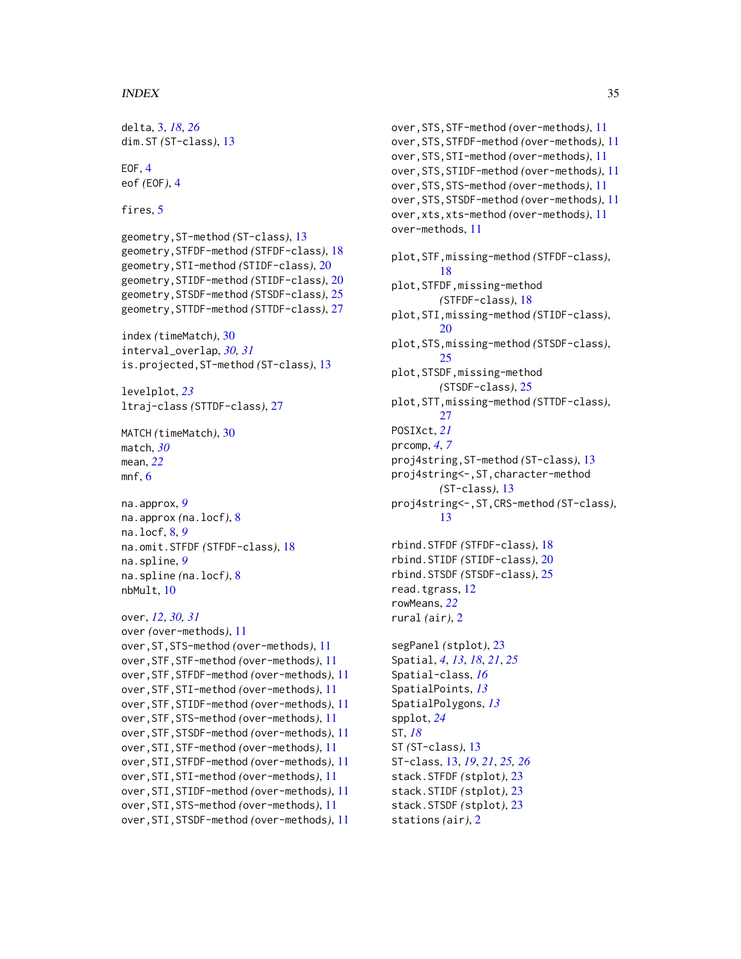#### $I<sub>N</sub>$  and  $I<sub>35</sub>$  and  $I<sub>35</sub>$  and  $I<sub>35</sub>$  and  $I<sub>35</sub>$  and  $I<sub>35</sub>$  and  $I<sub>35</sub>$  and  $I<sub>35</sub>$  and  $I<sub>35</sub>$  and  $I<sub>35</sub>$  and  $I<sub>35</sub>$  and  $I<sub>35</sub>$  and  $I<sub>35</sub>$  and  $I<sub>35</sub>$  and

```
delta, 3, 18, 26
dim.ST (ST-class), 13
EOF, 4
eof (EOF), 4
fires, 5
geometry,ST-method (ST-class), 13
geometry,STFDF-method (STFDF-class), 18
geometry,STI-method (STIDF-class), 20
geometry,STIDF-method (STIDF-class), 20
geometry,STSDF-method (STSDF-class), 25
geometry,STTDF-method (STTDF-class), 27
index (timeMatch), 30
interval_overlap, 30, 31
is.projected,ST-method (ST-class), 13
levelplot, 23
ltraj-class (STTDF-class), 27
MATCH (timeMatch), 30
match, 30
mean, 22
6na.approx, 9
na.approx (na.locf), 8
na.locf, 8, 9
na.omit.STFDF (STFDF-class), 18
na.spline, 9
na.spline (na.locf), 8
nbMult, 10
over, 12, 30, 31
over (over-methods), 11
over,ST,STS-method (over-methods), 11
over,STF,STF-method (over-methods), 11
over,STF,STFDF-method (over-methods), 11
over,STF,STI-method (over-methods), 11
over,STF,STIDF-method (over-methods), 11
over,STF,STS-method (over-methods), 11
over,STF,STSDF-method (over-methods), 11
over,STI,STF-method (over-methods), 11
over,STI,STFDF-method (over-methods), 11
over,STI,STI-method (over-methods), 11
over,STI,STIDF-method (over-methods), 11
over,STI,STS-method (over-methods), 11
over,STI,STSDF-method (over-methods), 11
```

```
over,STS,STF-method (over-methods), 11
over,STS,STFDF-method (over-methods), 11
over,STS,STI-method (over-methods), 11
over,STS,STIDF-method (over-methods), 11
over,STS,STS-method (over-methods), 11
over,STS,STSDF-method (over-methods), 11
over,xts,xts-method (over-methods), 11
over-methods, 11
plot,STF,missing-method (STFDF-class),
         18
plot,STFDF,missing-method
        (STFDF-class), 18
plot,STI,missing-method (STIDF-class),
        20
plot,STS,missing-method (STSDF-class),
        25
plot,STSDF,missing-method
        (STSDF-class), 25
plot,STT,missing-method (STTDF-class),
        27
POSIXct, 21
prcomp, 4, 7
proj4string,ST-method (ST-class), 13
proj4string<-,ST,character-method
        (ST-class), 13
proj4string<-,ST,CRS-method (ST-class),
        13
rbind.STFDF (STFDF-class), 18
rbind.STIDF (STIDF-class), 20
rbind.STSDF (STSDF-class), 25
read.tgrass, 12
rowMeans, 22
rural (air), 2
segPanel (stplot), 23
Spatial, 4, 13, 18, 21, 25
Spatial-class, 16
SpatialPoints, 13
SpatialPolygons, 13
spplot, 24
ST, 18
ST (ST-class), 13
ST-class, 13, 19, 21, 25, 26
stack.STFDF (stplot), 23
stack.STIDF (stplot), 23
stack.STSDF (stplot), 23
```
stations *(*air*)*, [2](#page-1-0)